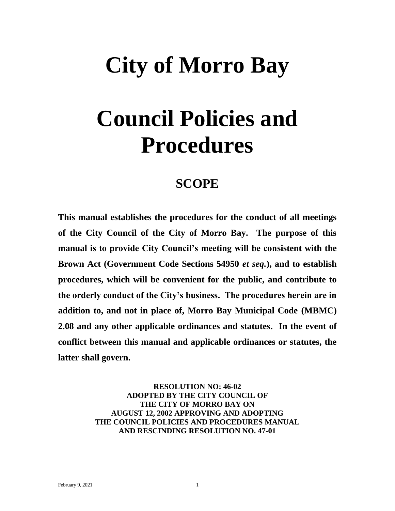# **City of Morro Bay**

## **Council Policies and Procedures**

## **SCOPE**

**This manual establishes the procedures for the conduct of all meetings of the City Council of the City of Morro Bay. The purpose of this manual is to provide City Council's meeting will be consistent with the Brown Act (Government Code Sections 54950** *et seq.***), and to establish procedures, which will be convenient for the public, and contribute to the orderly conduct of the City's business. The procedures herein are in addition to, and not in place of, Morro Bay Municipal Code (MBMC) 2.08 and any other applicable ordinances and statutes. In the event of conflict between this manual and applicable ordinances or statutes, the latter shall govern.**

> **RESOLUTION NO: 46-02 ADOPTED BY THE CITY COUNCIL OF THE CITY OF MORRO BAY ON AUGUST 12, 2002 APPROVING AND ADOPTING THE COUNCIL POLICIES AND PROCEDURES MANUAL AND RESCINDING RESOLUTION NO. 47-01**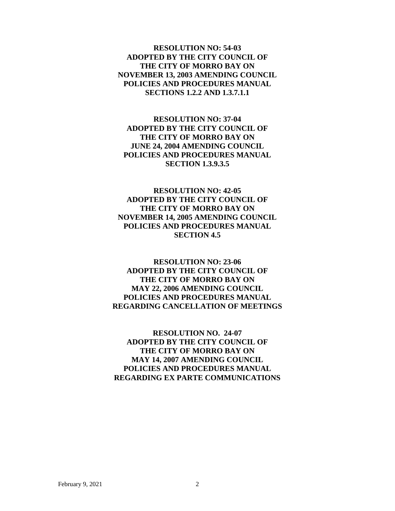**RESOLUTION NO: 54-03 ADOPTED BY THE CITY COUNCIL OF THE CITY OF MORRO BAY ON NOVEMBER 13, 2003 AMENDING COUNCIL POLICIES AND PROCEDURES MANUAL SECTIONS 1.2.2 AND 1.3.7.1.1** 

**RESOLUTION NO: 37-04 ADOPTED BY THE CITY COUNCIL OF THE CITY OF MORRO BAY ON JUNE 24, 2004 AMENDING COUNCIL POLICIES AND PROCEDURES MANUAL SECTION 1.3.9.3.5**

**RESOLUTION NO: 42-05 ADOPTED BY THE CITY COUNCIL OF THE CITY OF MORRO BAY ON NOVEMBER 14, 2005 AMENDING COUNCIL POLICIES AND PROCEDURES MANUAL SECTION 4.5**

**RESOLUTION NO: 23-06 ADOPTED BY THE CITY COUNCIL OF THE CITY OF MORRO BAY ON MAY 22, 2006 AMENDING COUNCIL POLICIES AND PROCEDURES MANUAL REGARDING CANCELLATION OF MEETINGS**

**RESOLUTION NO. 24-07 ADOPTED BY THE CITY COUNCIL OF THE CITY OF MORRO BAY ON MAY 14, 2007 AMENDING COUNCIL POLICIES AND PROCEDURES MANUAL REGARDING EX PARTE COMMUNICATIONS**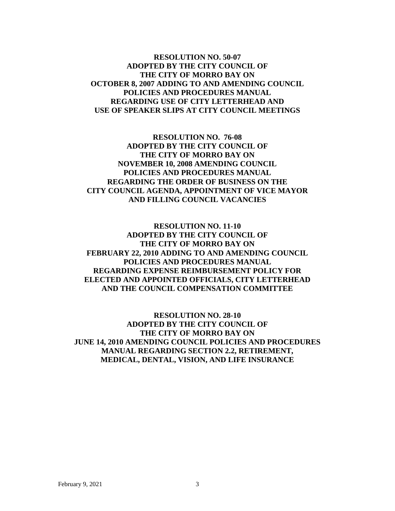## **RESOLUTION NO. 50-07 ADOPTED BY THE CITY COUNCIL OF THE CITY OF MORRO BAY ON OCTOBER 8, 2007 ADDING TO AND AMENDING COUNCIL POLICIES AND PROCEDURES MANUAL REGARDING USE OF CITY LETTERHEAD AND USE OF SPEAKER SLIPS AT CITY COUNCIL MEETINGS**

**RESOLUTION NO. 76-08 ADOPTED BY THE CITY COUNCIL OF THE CITY OF MORRO BAY ON NOVEMBER 10, 2008 AMENDING COUNCIL POLICIES AND PROCEDURES MANUAL REGARDING THE ORDER OF BUSINESS ON THE CITY COUNCIL AGENDA, APPOINTMENT OF VICE MAYOR AND FILLING COUNCIL VACANCIES**

**RESOLUTION NO. 11-10 ADOPTED BY THE CITY COUNCIL OF THE CITY OF MORRO BAY ON FEBRUARY 22, 2010 ADDING TO AND AMENDING COUNCIL POLICIES AND PROCEDURES MANUAL REGARDING EXPENSE REIMBURSEMENT POLICY FOR ELECTED AND APPOINTED OFFICIALS, CITY LETTERHEAD AND THE COUNCIL COMPENSATION COMMITTEE**

**RESOLUTION NO. 28-10 ADOPTED BY THE CITY COUNCIL OF THE CITY OF MORRO BAY ON JUNE 14, 2010 AMENDING COUNCIL POLICIES AND PROCEDURES MANUAL REGARDING SECTION 2.2, RETIREMENT, MEDICAL, DENTAL, VISION, AND LIFE INSURANCE**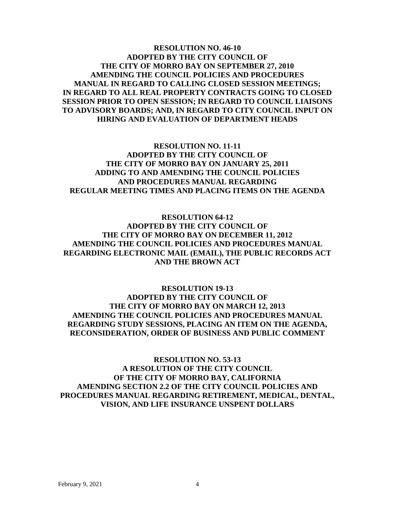## **RESOLUTION NO. 46-10 ADOPTED BY THE CITY COUNCIL OF THE CITY OF MORRO BAY ON SEPTEMBER 27, 2010 AMENDING THE COUNCIL POLICIES AND PROCEDURES MANUAL IN REGARD TO CALLING CLOSED SESSION MEETINGS; IN REGARD TO ALL REAL PROPERTY CONTRACTS GOING TO CLOSED SESSION PRIOR TO OPEN SESSION; IN REGARD TO COUNCIL LIAISONS TO ADVISORY BOARDS; AND, IN REGARD TO CITY COUNCIL INPUT ON HIRING AND EVALUATION OF DEPARTMENT HEADS**

**RESOLUTION NO. 11-11 ADOPTED BY THE CITY COUNCIL OF THE CITY OF MORRO BAY ON JANUARY 25, 2011 ADDING TO AND AMENDING THE COUNCIL POLICIES AND PROCEDURES MANUAL REGARDING REGULAR MEETING TIMES AND PLACING ITEMS ON THE AGENDA**

**RESOLUTION 64-12 ADOPTED BY THE CITY COUNCIL OF THE CITY OF MORRO BAY ON DECEMBER 11, 2012 AMENDING THE COUNCIL POLICIES AND PROCEDURES MANUAL REGARDING ELECTRONIC MAIL (EMAIL), THE PUBLIC RECORDS ACT AND THE BROWN ACT**

**RESOLUTION 19-13 ADOPTED BY THE CITY COUNCIL OF THE CITY OF MORRO BAY ON MARCH 12, 2013 AMENDING THE COUNCIL POLICIES AND PROCEDURES MANUAL REGARDING STUDY SESSIONS, PLACING AN ITEM ON THE AGENDA, RECONSIDERATION, ORDER OF BUSINESS AND PUBLIC COMMENT**

**RESOLUTION NO. 53-13 A RESOLUTION OF THE CITY COUNCIL OF THE CITY OF MORRO BAY, CALIFORNIA AMENDING SECTION 2.2 OF THE CITY COUNCIL POLICIES AND PROCEDURES MANUAL REGARDING RETIREMENT, MEDICAL, DENTAL, VISION, AND LIFE INSURANCE UNSPENT DOLLARS**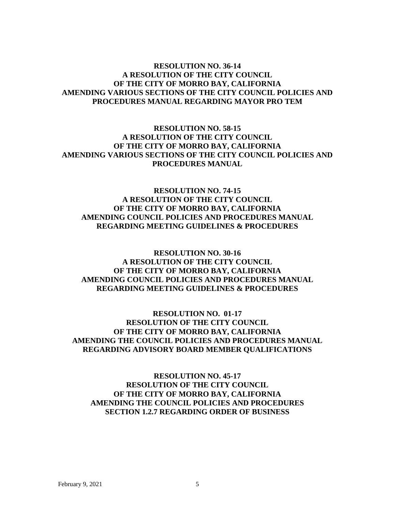## **RESOLUTION NO. 36-14 A RESOLUTION OF THE CITY COUNCIL OF THE CITY OF MORRO BAY, CALIFORNIA AMENDING VARIOUS SECTIONS OF THE CITY COUNCIL POLICIES AND PROCEDURES MANUAL REGARDING MAYOR PRO TEM**

## **RESOLUTION NO. 58-15 A RESOLUTION OF THE CITY COUNCIL OF THE CITY OF MORRO BAY, CALIFORNIA AMENDING VARIOUS SECTIONS OF THE CITY COUNCIL POLICIES AND PROCEDURES MANUAL**

## **RESOLUTION NO. 74-15 A RESOLUTION OF THE CITY COUNCIL OF THE CITY OF MORRO BAY, CALIFORNIA AMENDING COUNCIL POLICIES AND PROCEDURES MANUAL REGARDING MEETING GUIDELINES & PROCEDURES**

## **RESOLUTION NO. 30-16 A RESOLUTION OF THE CITY COUNCIL OF THE CITY OF MORRO BAY, CALIFORNIA AMENDING COUNCIL POLICIES AND PROCEDURES MANUAL REGARDING MEETING GUIDELINES & PROCEDURES**

## **RESOLUTION NO. 01-17 RESOLUTION OF THE CITY COUNCIL OF THE CITY OF MORRO BAY, CALIFORNIA AMENDING THE COUNCIL POLICIES AND PROCEDURES MANUAL REGARDING ADVISORY BOARD MEMBER QUALIFICATIONS**

**RESOLUTION NO. 45-17 RESOLUTION OF THE CITY COUNCIL OF THE CITY OF MORRO BAY, CALIFORNIA AMENDING THE COUNCIL POLICIES AND PROCEDURES SECTION 1.2.7 REGARDING ORDER OF BUSINESS**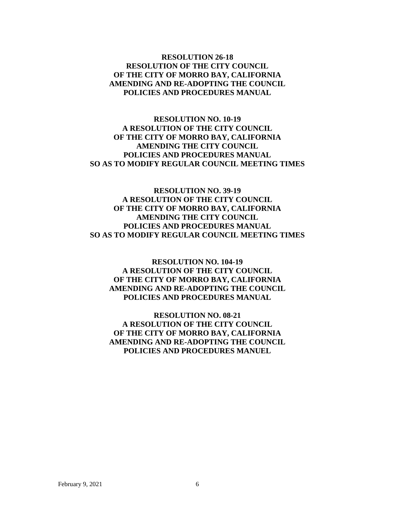## **RESOLUTION 26-18 RESOLUTION OF THE CITY COUNCIL OF THE CITY OF MORRO BAY, CALIFORNIA AMENDING AND RE-ADOPTING THE COUNCIL POLICIES AND PROCEDURES MANUAL**

**RESOLUTION NO. 10-19 A RESOLUTION OF THE CITY COUNCIL OF THE CITY OF MORRO BAY, CALIFORNIA AMENDING THE CITY COUNCIL POLICIES AND PROCEDURES MANUAL SO AS TO MODIFY REGULAR COUNCIL MEETING TIMES**

## **RESOLUTION NO. 39-19 A RESOLUTION OF THE CITY COUNCIL OF THE CITY OF MORRO BAY, CALIFORNIA AMENDING THE CITY COUNCIL POLICIES AND PROCEDURES MANUAL SO AS TO MODIFY REGULAR COUNCIL MEETING TIMES**

**RESOLUTION NO. 104-19 A RESOLUTION OF THE CITY COUNCIL OF THE CITY OF MORRO BAY, CALIFORNIA AMENDING AND RE-ADOPTING THE COUNCIL POLICIES AND PROCEDURES MANUAL**

**RESOLUTION NO. 08-21 A RESOLUTION OF THE CITY COUNCIL OF THE CITY OF MORRO BAY, CALIFORNIA AMENDING AND RE-ADOPTING THE COUNCIL POLICIES AND PROCEDURES MANUEL**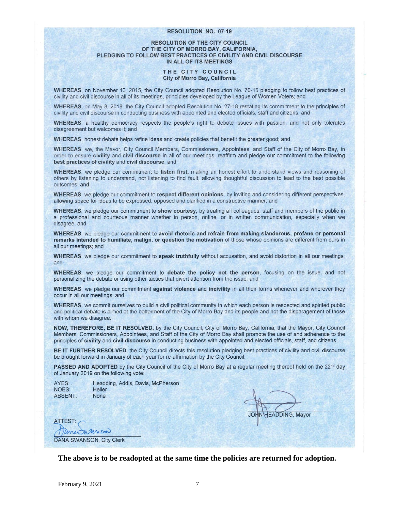#### **RESOLUTION NO. 07-19**

#### **RESOLUTION OF THE CITY COUNCIL** OF THE CITY OF MORRO BAY, CALIFORNIA, PLEDGING TO FOLLOW BEST PRACTICES OF CIVILITY AND CIVIL DISCOURSE IN ALL OF ITS MEETINGS

#### THE CITY COUNCIL City of Morro Bay, California

WHEREAS, on November 10, 2015, the City Council adopted Resolution No. 70-15 pledging to follow best practices of civility and civil discourse in all of its meetings, principles developed by the League of Women Voters; and

WHEREAS, on May 8, 2018, the City Council adopted Resolution No. 27-18 restating its commitment to the principles of civility and civil discourse in conducting business with appointed and elected officials, staff and citizens; and

WHEREAS, a healthy democracy respects the people's right to debate issues with passion; and not only tolerates disagreement but welcomes it; and

WHEREAS, honest debate helps refine ideas and create policies that benefit the greater good; and

WHEREAS, we, the Mayor, City Council Members, Commissioners, Appointees, and Staff of the City of Morro Bay, in order to ensure civility and civil discourse in all of our meetings, reaffirm and pledge our commitment to the following best practices of civility and civil discourse; and

WHEREAS, we pledge our commitment to listen first, making an honest effort to understand views and reasoning of others by listening to understand, not listening to find fault, allowing thoughtful discussion to lead to the best possible outcomes; and

WHEREAS, we pledge our commitment to respect different opinions, by inviting and considering different perspectives, allowing space for ideas to be expressed, opposed and clarified in a constructive manner; and

WHEREAS, we pledge our commitment to show courtesy, by treating all colleagues, staff and members of the public in a professional and courteous manner whether in person, online, or in written communication, especially when we disagree; and

WHEREAS, we pledge our commitment to avoid rhetoric and refrain from making slanderous, profane or personal remarks intended to humiliate, malign, or question the motivation of those whose opinions are different from ours in all our meetings; and

WHEREAS, we pledge our commitment to speak truthfully without accusation, and avoid distortion in all our meetings; and

WHEREAS, we pledge our commitment to debate the policy not the person, focusing on the issue, and not personalizing the debate or using other tactics that divert attention from the issue; and

WHEREAS, we pledge our commitment against violence and incivility in all their forms whenever and wherever they occur in all our meetings; and

WHEREAS, we commit ourselves to build a civil political community in which each person is respected and spirited public and political debate is aimed at the betterment of the City of Morro Bay and its people and not the disparagement of those with whom we disagree.

NOW, THEREFORE, BE IT RESOLVED, by the City Council, City of Morro Bay, California, that the Mayor, City Council Members, Commissioners, Appointees, and Staff of the City of Morro Bay shall promote the use of and adherence to the principles of civility and civil discourse in conducting business with appointed and elected officials, staff, and citizens.

BE IT FURTHER RESOLVED, the City Council directs this resolution pledging best practices of civility and civil discourse be brought forward in January of each year for re-affirmation by the City Council.

PASSED AND ADOPTED by the City Council of the City of Morro Bay at a regular meeting thereof held on the 22<sup>nd</sup> day of January 2019 on the following vote:

| AYES:   | Headding, Addis, Davis, McPherson |
|---------|-----------------------------------|
| NOES:   | Heller                            |
| ABSENT: | <b>None</b>                       |

**JOHN HEADDING, Mayor** 

ATTEST: anechanson **DANA SWANSON, City Clerk** 

**The above is to be readopted at the same time the policies are returned for adoption.**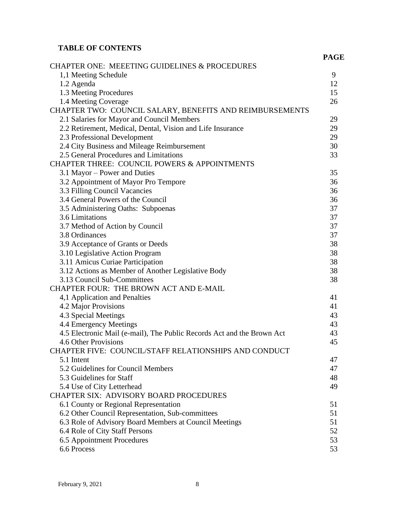## **TABLE OF CONTENTS**

|                                                                        | <b>PAGE</b> |
|------------------------------------------------------------------------|-------------|
| <b>CHAPTER ONE: MEEETING GUIDELINES &amp; PROCEDURES</b>               |             |
| 1,1 Meeting Schedule                                                   | 9           |
| 1.2 Agenda                                                             |             |
| 1.3 Meeting Procedures                                                 | 12<br>15    |
| 1.4 Meeting Coverage                                                   | 26          |
| CHAPTER TWO: COUNCIL SALARY, BENEFITS AND REIMBURSEMENTS               |             |
| 2.1 Salaries for Mayor and Council Members                             | 29          |
| 2.2 Retirement, Medical, Dental, Vision and Life Insurance             |             |
| 2.3 Professional Development                                           |             |
| 2.4 City Business and Mileage Reimbursement                            | 29<br>30    |
| 2.5 General Procedures and Limitations                                 | 33          |
| <b>CHAPTER THREE: COUNCIL POWERS &amp; APPOINTMENTS</b>                |             |
| 3.1 Mayor – Power and Duties                                           | 35          |
| 3.2 Appointment of Mayor Pro Tempore                                   |             |
| 3.3 Filling Council Vacancies                                          | 36<br>36    |
| 3.4 General Powers of the Council                                      | 36          |
| 3.5 Administering Oaths: Subpoenas                                     | 37          |
| 3.6 Limitations                                                        | 37          |
| 3.7 Method of Action by Council                                        | 37          |
| 3.8 Ordinances                                                         | 37          |
| 3.9 Acceptance of Grants or Deeds                                      | 38          |
| 3.10 Legislative Action Program                                        | 38          |
| 3.11 Amicus Curiae Participation                                       | 38          |
| 3.12 Actions as Member of Another Legislative Body                     | 38          |
| 3.13 Council Sub-Committees                                            | 38          |
| CHAPTER FOUR: THE BROWN ACT AND E-MAIL                                 |             |
| 4,1 Application and Penalties                                          | 41          |
| 4.2 Major Provisions                                                   | 41          |
| 4.3 Special Meetings                                                   |             |
| 4.4 Emergency Meetings                                                 | 43          |
| 4.5 Electronic Mail (e-mail), The Public Records Act and the Brown Act | 43          |
| 4.6 Other Provisions                                                   | 45          |
| CHAPTER FIVE: COUNCIL/STAFF RELATIONSHIPS AND CONDUCT                  |             |
| 5.1 Intent                                                             | 47          |
| 5.2 Guidelines for Council Members                                     | 47          |
| 5.3 Guidelines for Staff                                               | 48          |
| 5.4 Use of City Letterhead                                             | 49          |
| CHAPTER SIX: ADVISORY BOARD PROCEDURES                                 |             |
| 6.1 County or Regional Representation                                  | 51          |
| 6.2 Other Council Representation, Sub-committees                       |             |
| 6.3 Role of Advisory Board Members at Council Meetings                 |             |
| 6.4 Role of City Staff Persons                                         |             |
| 6.5 Appointment Procedures                                             | 52<br>53    |
| 6.6 Process                                                            | 53          |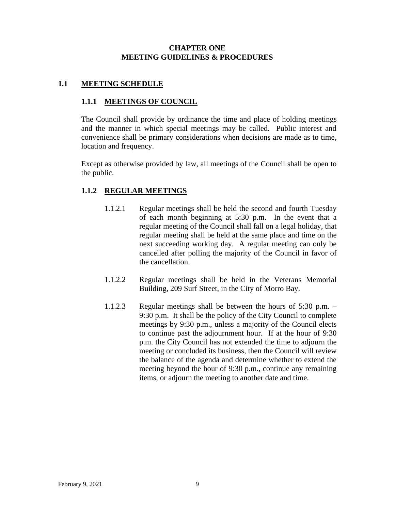## **CHAPTER ONE MEETING GUIDELINES & PROCEDURES**

## **1.1 MEETING SCHEDULE**

## **1.1.1 MEETINGS OF COUNCIL**

The Council shall provide by ordinance the time and place of holding meetings and the manner in which special meetings may be called. Public interest and convenience shall be primary considerations when decisions are made as to time, location and frequency.

Except as otherwise provided by law, all meetings of the Council shall be open to the public.

## **1.1.2 REGULAR MEETINGS**

- 1.1.2.1 Regular meetings shall be held the second and fourth Tuesday of each month beginning at 5:30 p.m. In the event that a regular meeting of the Council shall fall on a legal holiday, that regular meeting shall be held at the same place and time on the next succeeding working day. A regular meeting can only be cancelled after polling the majority of the Council in favor of the cancellation.
- 1.1.2.2 Regular meetings shall be held in the Veterans Memorial Building, 209 Surf Street, in the City of Morro Bay.
- 1.1.2.3 Regular meetings shall be between the hours of 5:30 p.m. 9:30 p.m. It shall be the policy of the City Council to complete meetings by 9:30 p.m., unless a majority of the Council elects to continue past the adjournment hour. If at the hour of 9:30 p.m. the City Council has not extended the time to adjourn the meeting or concluded its business, then the Council will review the balance of the agenda and determine whether to extend the meeting beyond the hour of 9:30 p.m., continue any remaining items, or adjourn the meeting to another date and time.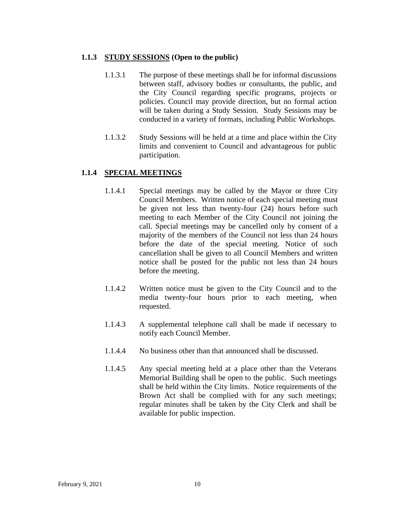## **1.1.3 STUDY SESSIONS (Open to the public)**

- 1.1.3.1 The purpose of these meetings shall be for informal discussions between staff, advisory bodies or consultants, the public, and the City Council regarding specific programs, projects or policies. Council may provide direction, but no formal action will be taken during a Study Session. Study Sessions may be conducted in a variety of formats, including Public Workshops.
- 1.1.3.2 Study Sessions will be held at a time and place within the City limits and convenient to Council and advantageous for public participation.

## **1.1.4 SPECIAL MEETINGS**

- 1.1.4.1 Special meetings may be called by the Mayor or three City Council Members. Written notice of each special meeting must be given not less than twenty-four (24) hours before such meeting to each Member of the City Council not joining the call. Special meetings may be cancelled only by consent of a majority of the members of the Council not less than 24 hours before the date of the special meeting. Notice of such cancellation shall be given to all Council Members and written notice shall be posted for the public not less than 24 hours before the meeting.
- 1.1.4.2 Written notice must be given to the City Council and to the media twenty-four hours prior to each meeting, when requested.
- 1.1.4.3 A supplemental telephone call shall be made if necessary to notify each Council Member.
- 1.1.4.4 No business other than that announced shall be discussed.
- 1.1.4.5 Any special meeting held at a place other than the Veterans Memorial Building shall be open to the public. Such meetings shall be held within the City limits. Notice requirements of the Brown Act shall be complied with for any such meetings; regular minutes shall be taken by the City Clerk and shall be available for public inspection.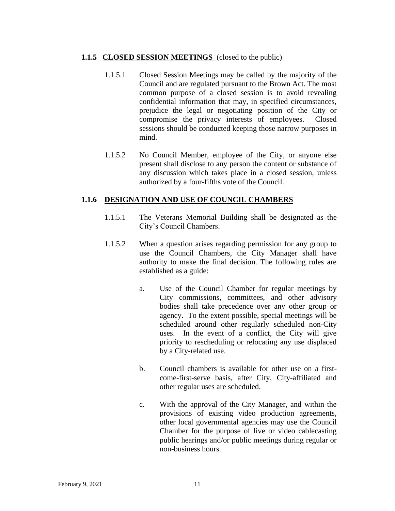## **1.1.5 CLOSED SESSION MEETINGS** (closed to the public)

- 1.1.5.1 Closed Session Meetings may be called by the majority of the Council and are regulated pursuant to the Brown Act. The most common purpose of a closed session is to avoid revealing confidential information that may, in specified circumstances, prejudice the legal or negotiating position of the City or compromise the privacy interests of employees. Closed sessions should be conducted keeping those narrow purposes in mind.
- 1.1.5.2 No Council Member, employee of the City, or anyone else present shall disclose to any person the content or substance of any discussion which takes place in a closed session, unless authorized by a four-fifths vote of the Council.

## **1.1.6 DESIGNATION AND USE OF COUNCIL CHAMBERS**

- 1.1.5.1 The Veterans Memorial Building shall be designated as the City's Council Chambers.
- 1.1.5.2 When a question arises regarding permission for any group to use the Council Chambers, the City Manager shall have authority to make the final decision. The following rules are established as a guide:
	- a. Use of the Council Chamber for regular meetings by City commissions, committees, and other advisory bodies shall take precedence over any other group or agency. To the extent possible, special meetings will be scheduled around other regularly scheduled non-City uses. In the event of a conflict, the City will give priority to rescheduling or relocating any use displaced by a City-related use.
	- b. Council chambers is available for other use on a firstcome-first-serve basis, after City, City-affiliated and other regular uses are scheduled.
	- c. With the approval of the City Manager, and within the provisions of existing video production agreements, other local governmental agencies may use the Council Chamber for the purpose of live or video cablecasting public hearings and/or public meetings during regular or non-business hours.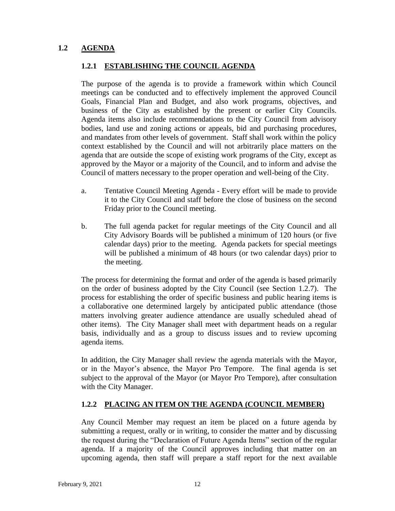## **1.2 AGENDA**

## **1.2.1 ESTABLISHING THE COUNCIL AGENDA**

The purpose of the agenda is to provide a framework within which Council meetings can be conducted and to effectively implement the approved Council Goals, Financial Plan and Budget, and also work programs, objectives, and business of the City as established by the present or earlier City Councils. Agenda items also include recommendations to the City Council from advisory bodies, land use and zoning actions or appeals, bid and purchasing procedures, and mandates from other levels of government. Staff shall work within the policy context established by the Council and will not arbitrarily place matters on the agenda that are outside the scope of existing work programs of the City, except as approved by the Mayor or a majority of the Council, and to inform and advise the Council of matters necessary to the proper operation and well-being of the City.

- a. Tentative Council Meeting Agenda Every effort will be made to provide it to the City Council and staff before the close of business on the second Friday prior to the Council meeting.
- b. The full agenda packet for regular meetings of the City Council and all City Advisory Boards will be published a minimum of 120 hours (or five calendar days) prior to the meeting. Agenda packets for special meetings will be published a minimum of 48 hours (or two calendar days) prior to the meeting.

The process for determining the format and order of the agenda is based primarily on the order of business adopted by the City Council (see Section 1.2.7). The process for establishing the order of specific business and public hearing items is a collaborative one determined largely by anticipated public attendance (those matters involving greater audience attendance are usually scheduled ahead of other items). The City Manager shall meet with department heads on a regular basis, individually and as a group to discuss issues and to review upcoming agenda items.

In addition, the City Manager shall review the agenda materials with the Mayor, or in the Mayor's absence, the Mayor Pro Tempore. The final agenda is set subject to the approval of the Mayor (or Mayor Pro Tempore), after consultation with the City Manager.

## **1.2.2 PLACING AN ITEM ON THE AGENDA (COUNCIL MEMBER)**

Any Council Member may request an item be placed on a future agenda by submitting a request, orally or in writing, to consider the matter and by discussing the request during the "Declaration of Future Agenda Items" section of the regular agenda. If a majority of the Council approves including that matter on an upcoming agenda, then staff will prepare a staff report for the next available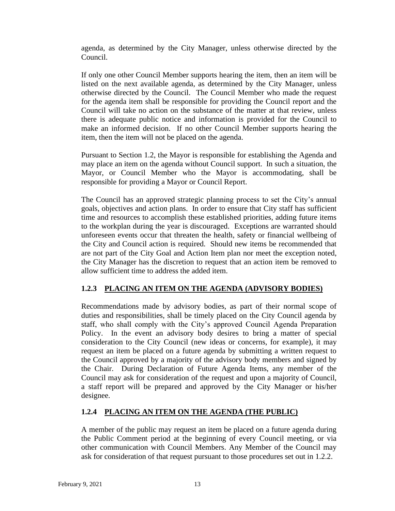agenda, as determined by the City Manager, unless otherwise directed by the Council.

If only one other Council Member supports hearing the item, then an item will be listed on the next available agenda, as determined by the City Manager, unless otherwise directed by the Council. The Council Member who made the request for the agenda item shall be responsible for providing the Council report and the Council will take no action on the substance of the matter at that review, unless there is adequate public notice and information is provided for the Council to make an informed decision. If no other Council Member supports hearing the item, then the item will not be placed on the agenda.

Pursuant to Section 1.2, the Mayor is responsible for establishing the Agenda and may place an item on the agenda without Council support. In such a situation, the Mayor, or Council Member who the Mayor is accommodating, shall be responsible for providing a Mayor or Council Report.

The Council has an approved strategic planning process to set the City's annual goals, objectives and action plans. In order to ensure that City staff has sufficient time and resources to accomplish these established priorities, adding future items to the workplan during the year is discouraged. Exceptions are warranted should unforeseen events occur that threaten the health, safety or financial wellbeing of the City and Council action is required. Should new items be recommended that are not part of the City Goal and Action Item plan nor meet the exception noted, the City Manager has the discretion to request that an action item be removed to allow sufficient time to address the added item.

## **1.2.3 PLACING AN ITEM ON THE AGENDA (ADVISORY BODIES)**

Recommendations made by advisory bodies, as part of their normal scope of duties and responsibilities, shall be timely placed on the City Council agenda by staff, who shall comply with the City's approved Council Agenda Preparation Policy. In the event an advisory body desires to bring a matter of special consideration to the City Council (new ideas or concerns, for example), it may request an item be placed on a future agenda by submitting a written request to the Council approved by a majority of the advisory body members and signed by the Chair. During Declaration of Future Agenda Items, any member of the Council may ask for consideration of the request and upon a majority of Council, a staff report will be prepared and approved by the City Manager or his/her designee.

## **1.2.4 PLACING AN ITEM ON THE AGENDA (THE PUBLIC)**

A member of the public may request an item be placed on a future agenda during the Public Comment period at the beginning of every Council meeting, or via other communication with Council Members. Any Member of the Council may ask for consideration of that request pursuant to those procedures set out in 1.2.2.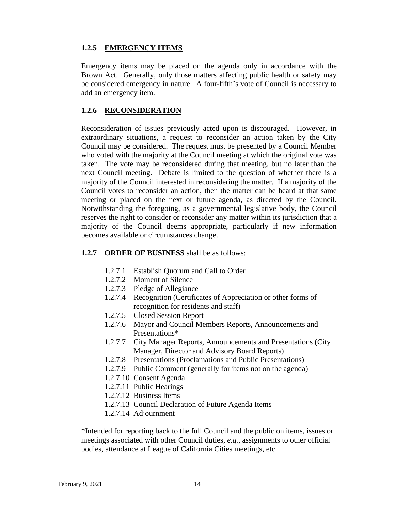## **1.2.5 EMERGENCY ITEMS**

Emergency items may be placed on the agenda only in accordance with the Brown Act. Generally, only those matters affecting public health or safety may be considered emergency in nature. A four-fifth's vote of Council is necessary to add an emergency item.

## **1.2.6 RECONSIDERATION**

Reconsideration of issues previously acted upon is discouraged. However, in extraordinary situations, a request to reconsider an action taken by the City Council may be considered. The request must be presented by a Council Member who voted with the majority at the Council meeting at which the original vote was taken. The vote may be reconsidered during that meeting, but no later than the next Council meeting. Debate is limited to the question of whether there is a majority of the Council interested in reconsidering the matter. If a majority of the Council votes to reconsider an action, then the matter can be heard at that same meeting or placed on the next or future agenda, as directed by the Council. Notwithstanding the foregoing, as a governmental legislative body, the Council reserves the right to consider or reconsider any matter within its jurisdiction that a majority of the Council deems appropriate, particularly if new information becomes available or circumstances change.

## **1.2.7 ORDER OF BUSINESS** shall be as follows:

- 1.2.7.1 Establish Quorum and Call to Order
- 1.2.7.2 Moment of Silence
- 1.2.7.3 Pledge of Allegiance
- 1.2.7.4 Recognition (Certificates of Appreciation or other forms of recognition for residents and staff)
- 1.2.7.5 Closed Session Report
- 1.2.7.6 Mayor and Council Members Reports, Announcements and Presentations\*
- 1.2.7.7 City Manager Reports, Announcements and Presentations (City Manager, Director and Advisory Board Reports)
- 1.2.7.8 Presentations (Proclamations and Public Presentations)
- 1.2.7.9 Public Comment (generally for items not on the agenda)
- 1.2.7.10 Consent Agenda
- 1.2.7.11 Public Hearings
- 1.2.7.12 Business Items
- 1.2.7.13 Council Declaration of Future Agenda Items
- 1.2.7.14 Adjournment

\*Intended for reporting back to the full Council and the public on items, issues or meetings associated with other Council duties, *e.g.*, assignments to other official bodies, attendance at League of California Cities meetings, etc.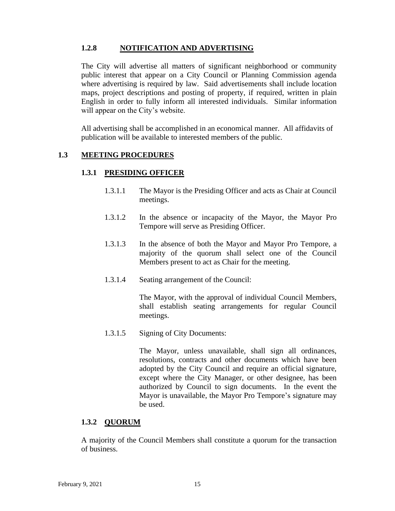## **1.2.8 NOTIFICATION AND ADVERTISING**

The City will advertise all matters of significant neighborhood or community public interest that appear on a City Council or Planning Commission agenda where advertising is required by law. Said advertisements shall include location maps, project descriptions and posting of property, if required, written in plain English in order to fully inform all interested individuals. Similar information will appear on the City's website.

All advertising shall be accomplished in an economical manner. All affidavits of publication will be available to interested members of the public.

## **1.3 MEETING PROCEDURES**

## **1.3.1 PRESIDING OFFICER**

- 1.3.1.1 The Mayor is the Presiding Officer and acts as Chair at Council meetings.
- 1.3.1.2 In the absence or incapacity of the Mayor, the Mayor Pro Tempore will serve as Presiding Officer.
- 1.3.1.3 In the absence of both the Mayor and Mayor Pro Tempore, a majority of the quorum shall select one of the Council Members present to act as Chair for the meeting.
- 1.3.1.4 Seating arrangement of the Council:

The Mayor, with the approval of individual Council Members, shall establish seating arrangements for regular Council meetings.

1.3.1.5 Signing of City Documents:

The Mayor, unless unavailable, shall sign all ordinances, resolutions, contracts and other documents which have been adopted by the City Council and require an official signature, except where the City Manager, or other designee, has been authorized by Council to sign documents. In the event the Mayor is unavailable, the Mayor Pro Tempore's signature may be used.

#### **1.3.2 QUORUM**

A majority of the Council Members shall constitute a quorum for the transaction of business.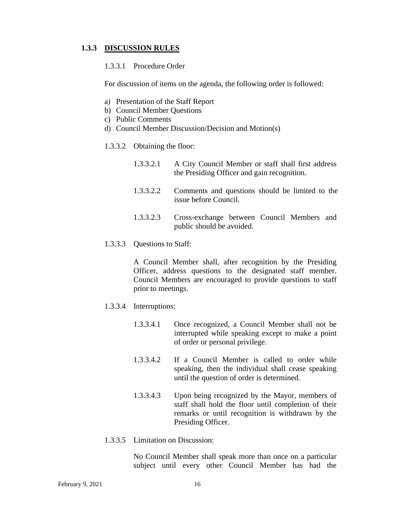#### **1.3.3 DISCUSSION RULES**

#### 1.3.3.1 Procedure Order

For discussion of items on the agenda, the following order is followed:

- a) Presentation of the Staff Report
- b) Council Member Questions
- c) Public Comments
- d) Council Member Discussion/Decision and Motion(s)
- 1.3.3.2 Obtaining the floor:

| 1.3.3.2.1 | A City Council Member or staff shall first address |
|-----------|----------------------------------------------------|
|           | the Presiding Officer and gain recognition.        |

- 1.3.3.2.2 Comments and questions should be limited to the issue before Council.
- 1.3.3.2.3 Cross-exchange between Council Members and public should be avoided.
- 1.3.3.3 Questions to Staff:

A Council Member shall, after recognition by the Presiding Officer, address questions to the designated staff member. Council Members are encouraged to provide questions to staff prior to meetings.

- 1.3.3.4 Interruptions:
	- 1.3.3.4.1 Once recognized, a Council Member shall not be interrupted while speaking except to make a point of order or personal privilege.
	- 1.3.3.4.2 If a Council Member is called to order while speaking, then the individual shall cease speaking until the question of order is determined.
	- 1.3.3.4.3 Upon being recognized by the Mayor, members of staff shall hold the floor until completion of their remarks or until recognition is withdrawn by the Presiding Officer.
- 1.3.3.5 Limitation on Discussion:

No Council Member shall speak more than once on a particular subject until every other Council Member has had the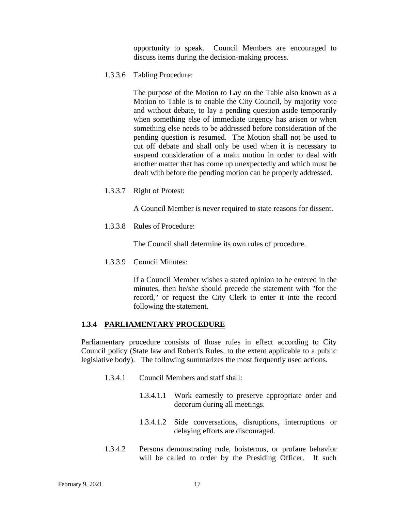opportunity to speak. Council Members are encouraged to discuss items during the decision-making process.

1.3.3.6 Tabling Procedure:

The purpose of the Motion to Lay on the Table also known as a Motion to Table is to enable the City Council, by majority vote and without debate, to lay a pending question aside temporarily when something else of immediate urgency has arisen or when something else needs to be addressed before consideration of the pending question is resumed. The Motion shall not be used to cut off debate and shall only be used when it is necessary to suspend consideration of a main motion in order to deal with another matter that has come up unexpectedly and which must be dealt with before the pending motion can be properly addressed.

1.3.3.7 Right of Protest:

A Council Member is never required to state reasons for dissent.

1.3.3.8 Rules of Procedure:

The Council shall determine its own rules of procedure.

1.3.3.9 Council Minutes:

If a Council Member wishes a stated opinion to be entered in the minutes, then he/she should precede the statement with "for the record," or request the City Clerk to enter it into the record following the statement.

#### **1.3.4 PARLIAMENTARY PROCEDURE**

Parliamentary procedure consists of those rules in effect according to City Council policy (State law and Robert's Rules, to the extent applicable to a public legislative body). The following summarizes the most frequently used actions.

- 1.3.4.1 Council Members and staff shall:
	- 1.3.4.1.1 Work earnestly to preserve appropriate order and decorum during all meetings.
	- 1.3.4.1.2 Side conversations, disruptions, interruptions or delaying efforts are discouraged.
- 1.3.4.2 Persons demonstrating rude, boisterous, or profane behavior will be called to order by the Presiding Officer. If such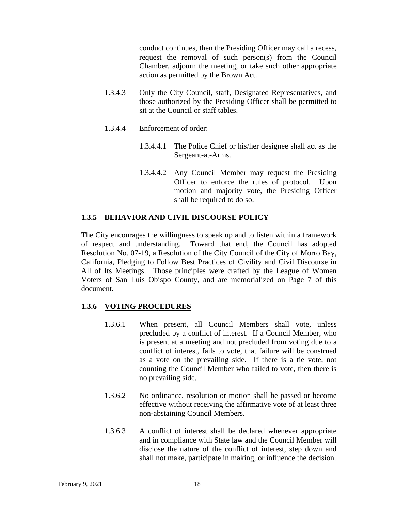conduct continues, then the Presiding Officer may call a recess, request the removal of such person(s) from the Council Chamber, adjourn the meeting, or take such other appropriate action as permitted by the Brown Act.

- 1.3.4.3 Only the City Council, staff, Designated Representatives, and those authorized by the Presiding Officer shall be permitted to sit at the Council or staff tables.
- 1.3.4.4 Enforcement of order:
	- 1.3.4.4.1 The Police Chief or his/her designee shall act as the Sergeant-at-Arms.
	- 1.3.4.4.2 Any Council Member may request the Presiding Officer to enforce the rules of protocol. Upon motion and majority vote, the Presiding Officer shall be required to do so.

## **1.3.5 BEHAVIOR AND CIVIL DISCOURSE POLICY**

The City encourages the willingness to speak up and to listen within a framework of respect and understanding. Toward that end, the Council has adopted Resolution No. 07-19, a Resolution of the City Council of the City of Morro Bay, California, Pledging to Follow Best Practices of Civility and Civil Discourse in All of Its Meetings. Those principles were crafted by the League of Women Voters of San Luis Obispo County, and are memorialized on Page 7 of this document.

## **1.3.6 VOTING PROCEDURES**

- 1.3.6.1 When present, all Council Members shall vote, unless precluded by a conflict of interest. If a Council Member, who is present at a meeting and not precluded from voting due to a conflict of interest, fails to vote, that failure will be construed as a vote on the prevailing side. If there is a tie vote, not counting the Council Member who failed to vote, then there is no prevailing side.
- 1.3.6.2 No ordinance, resolution or motion shall be passed or become effective without receiving the affirmative vote of at least three non-abstaining Council Members.
- 1.3.6.3 A conflict of interest shall be declared whenever appropriate and in compliance with State law and the Council Member will disclose the nature of the conflict of interest, step down and shall not make, participate in making, or influence the decision.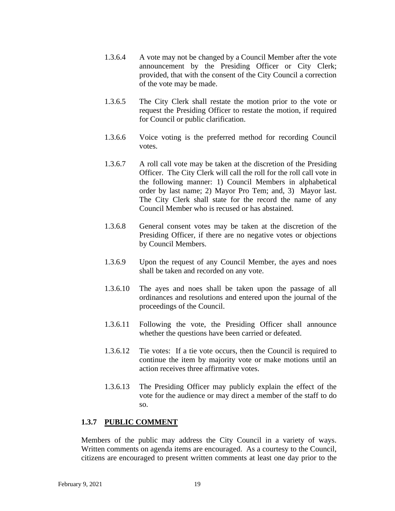- 1.3.6.4 A vote may not be changed by a Council Member after the vote announcement by the Presiding Officer or City Clerk; provided, that with the consent of the City Council a correction of the vote may be made.
- 1.3.6.5 The City Clerk shall restate the motion prior to the vote or request the Presiding Officer to restate the motion, if required for Council or public clarification.
- 1.3.6.6 Voice voting is the preferred method for recording Council votes.
- 1.3.6.7 A roll call vote may be taken at the discretion of the Presiding Officer. The City Clerk will call the roll for the roll call vote in the following manner: 1) Council Members in alphabetical order by last name; 2) Mayor Pro Tem; and, 3) Mayor last. The City Clerk shall state for the record the name of any Council Member who is recused or has abstained.
- 1.3.6.8 General consent votes may be taken at the discretion of the Presiding Officer, if there are no negative votes or objections by Council Members.
- 1.3.6.9 Upon the request of any Council Member, the ayes and noes shall be taken and recorded on any vote.
- 1.3.6.10 The ayes and noes shall be taken upon the passage of all ordinances and resolutions and entered upon the journal of the proceedings of the Council.
- 1.3.6.11 Following the vote, the Presiding Officer shall announce whether the questions have been carried or defeated.
- 1.3.6.12 Tie votes: If a tie vote occurs, then the Council is required to continue the item by majority vote or make motions until an action receives three affirmative votes.
- 1.3.6.13 The Presiding Officer may publicly explain the effect of the vote for the audience or may direct a member of the staff to do so.

#### **1.3.7 PUBLIC COMMENT**

Members of the public may address the City Council in a variety of ways. Written comments on agenda items are encouraged. As a courtesy to the Council, citizens are encouraged to present written comments at least one day prior to the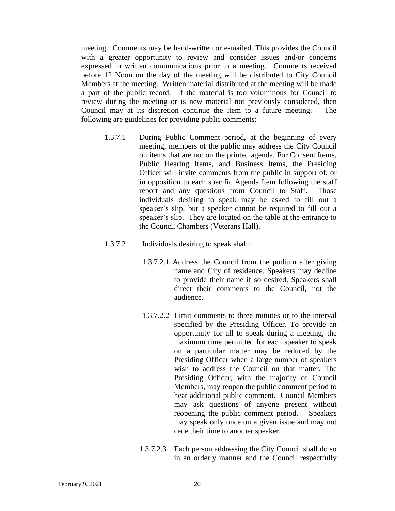meeting. Comments may be hand-written or e-mailed. This provides the Council with a greater opportunity to review and consider issues and/or concerns expressed in written communications prior to a meeting. Comments received before 12 Noon on the day of the meeting will be distributed to City Council Members at the meeting. Written material distributed at the meeting will be made a part of the public record. If the material is too voluminous for Council to review during the meeting or is new material not previously considered, then Council may at its discretion continue the item to a future meeting. The following are guidelines for providing public comments:

- 1.3.7.1 During Public Comment period, at the beginning of every meeting, members of the public may address the City Council on items that are not on the printed agenda. For Consent Items, Public Hearing Items, and Business Items, the Presiding Officer will invite comments from the public in support of, or in opposition to each specific Agenda Item following the staff report and any questions from Council to Staff. Those individuals desiring to speak may be asked to fill out a speaker's slip, but a speaker cannot be required to fill out a speaker's slip. They are located on the table at the entrance to the Council Chambers (Veterans Hall).
- 1.3.7.2 Individuals desiring to speak shall:
	- 1.3.7.2.1 Address the Council from the podium after giving name and City of residence. Speakers may decline to provide their name if so desired. Speakers shall direct their comments to the Council, not the audience.
	- 1.3.7.2.2 Limit comments to three minutes or to the interval specified by the Presiding Officer. To provide an opportunity for all to speak during a meeting, the maximum time permitted for each speaker to speak on a particular matter may be reduced by the Presiding Officer when a large number of speakers wish to address the Council on that matter. The Presiding Officer, with the majority of Council Members, may reopen the public comment period to hear additional public comment. Council Members may ask questions of anyone present without reopening the public comment period. Speakers may speak only once on a given issue and may not cede their time to another speaker.
	- 1.3.7.2.3 Each person addressing the City Council shall do so in an orderly manner and the Council respectfully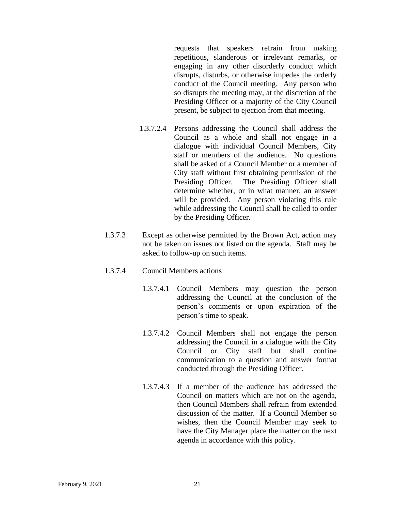requests that speakers refrain from making repetitious, slanderous or irrelevant remarks, or engaging in any other disorderly conduct which disrupts, disturbs, or otherwise impedes the orderly conduct of the Council meeting. Any person who so disrupts the meeting may, at the discretion of the Presiding Officer or a majority of the City Council present, be subject to ejection from that meeting.

- 1.3.7.2.4 Persons addressing the Council shall address the Council as a whole and shall not engage in a dialogue with individual Council Members, City staff or members of the audience. No questions shall be asked of a Council Member or a member of City staff without first obtaining permission of the Presiding Officer. The Presiding Officer shall determine whether, or in what manner, an answer will be provided. Any person violating this rule while addressing the Council shall be called to order by the Presiding Officer.
- 1.3.7.3 Except as otherwise permitted by the Brown Act, action may not be taken on issues not listed on the agenda. Staff may be asked to follow-up on such items.

#### 1.3.7.4 Council Members actions

- 1.3.7.4.1 Council Members may question the person addressing the Council at the conclusion of the person's comments or upon expiration of the person's time to speak.
- 1.3.7.4.2 Council Members shall not engage the person addressing the Council in a dialogue with the City Council or City staff but shall confine communication to a question and answer format conducted through the Presiding Officer.
- 1.3.7.4.3 If a member of the audience has addressed the Council on matters which are not on the agenda, then Council Members shall refrain from extended discussion of the matter. If a Council Member so wishes, then the Council Member may seek to have the City Manager place the matter on the next agenda in accordance with this policy.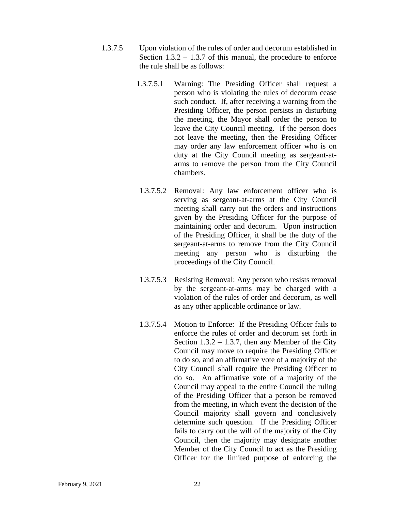- 1.3.7.5 Upon violation of the rules of order and decorum established in Section  $1.3.2 - 1.3.7$  of this manual, the procedure to enforce the rule shall be as follows:
	- 1.3.7.5.1 Warning: The Presiding Officer shall request a person who is violating the rules of decorum cease such conduct. If, after receiving a warning from the Presiding Officer, the person persists in disturbing the meeting, the Mayor shall order the person to leave the City Council meeting. If the person does not leave the meeting, then the Presiding Officer may order any law enforcement officer who is on duty at the City Council meeting as sergeant-atarms to remove the person from the City Council chambers.
	- 1.3.7.5.2 Removal: Any law enforcement officer who is serving as sergeant-at-arms at the City Council meeting shall carry out the orders and instructions given by the Presiding Officer for the purpose of maintaining order and decorum. Upon instruction of the Presiding Officer, it shall be the duty of the sergeant-at-arms to remove from the City Council meeting any person who is disturbing the proceedings of the City Council.
	- 1.3.7.5.3 Resisting Removal: Any person who resists removal by the sergeant-at-arms may be charged with a violation of the rules of order and decorum, as well as any other applicable ordinance or law.
	- 1.3.7.5.4 Motion to Enforce: If the Presiding Officer fails to enforce the rules of order and decorum set forth in Section  $1.3.2 - 1.3.7$ , then any Member of the City Council may move to require the Presiding Officer to do so, and an affirmative vote of a majority of the City Council shall require the Presiding Officer to do so. An affirmative vote of a majority of the Council may appeal to the entire Council the ruling of the Presiding Officer that a person be removed from the meeting, in which event the decision of the Council majority shall govern and conclusively determine such question. If the Presiding Officer fails to carry out the will of the majority of the City Council, then the majority may designate another Member of the City Council to act as the Presiding Officer for the limited purpose of enforcing the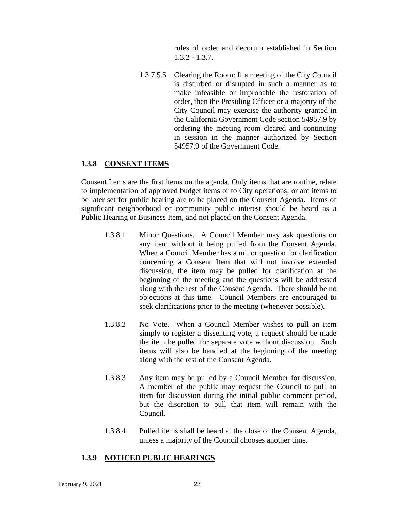rules of order and decorum established in Section 1.3.2 - 1.3.7.

1.3.7.5.5 Clearing the Room: If a meeting of the City Council is disturbed or disrupted in such a manner as to make infeasible or improbable the restoration of order, then the Presiding Officer or a majority of the City Council may exercise the authority granted in the California Government Code section 54957.9 by ordering the meeting room cleared and continuing in session in the manner authorized by Section 54957.9 of the Government Code.

#### **1.3.8 CONSENT ITEMS**

Consent Items are the first items on the agenda. Only items that are routine, relate to implementation of approved budget items or to City operations, or are items to be later set for public hearing are to be placed on the Consent Agenda. Items of significant neighborhood or community public interest should be heard as a Public Hearing or Business Item, and not placed on the Consent Agenda.

- 1.3.8.1 Minor Questions. A Council Member may ask questions on any item without it being pulled from the Consent Agenda. When a Council Member has a minor question for clarification concerning a Consent Item that will not involve extended discussion, the item may be pulled for clarification at the beginning of the meeting and the questions will be addressed along with the rest of the Consent Agenda. There should be no objections at this time. Council Members are encouraged to seek clarifications prior to the meeting (whenever possible).
- 1.3.8.2 No Vote. When a Council Member wishes to pull an item simply to register a dissenting vote, a request should be made the item be pulled for separate vote without discussion. Such items will also be handled at the beginning of the meeting along with the rest of the Consent Agenda.
- 1.3.8.3 Any item may be pulled by a Council Member for discussion. A member of the public may request the Council to pull an item for discussion during the initial public comment period, but the discretion to pull that item will remain with the Council.
- 1.3.8.4 Pulled items shall be heard at the close of the Consent Agenda, unless a majority of the Council chooses another time.

## **1.3.9 NOTICED PUBLIC HEARINGS**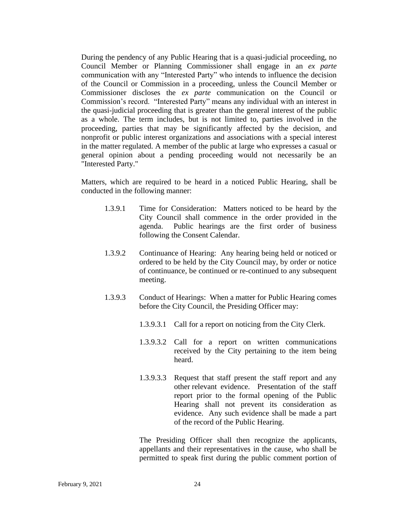During the pendency of any Public Hearing that is a quasi-judicial proceeding, no Council Member or Planning Commissioner shall engage in an *ex parte* communication with any "Interested Party" who intends to influence the decision of the Council or Commission in a proceeding, unless the Council Member or Commissioner discloses the *ex parte* communication on the Council or Commission's record. "Interested Party" means any individual with an interest in the quasi-judicial proceeding that is greater than the general interest of the public as a whole. The term includes, but is not limited to, parties involved in the proceeding, parties that may be significantly affected by the decision, and nonprofit or public interest organizations and associations with a special interest in the matter regulated. A member of the public at large who expresses a casual or general opinion about a pending proceeding would not necessarily be an "Interested Party."

Matters, which are required to be heard in a noticed Public Hearing, shall be conducted in the following manner:

- 1.3.9.1 Time for Consideration: Matters noticed to be heard by the City Council shall commence in the order provided in the agenda. Public hearings are the first order of business following the Consent Calendar.
- 1.3.9.2 Continuance of Hearing: Any hearing being held or noticed or ordered to be held by the City Council may, by order or notice of continuance, be continued or re-continued to any subsequent meeting.
- 1.3.9.3 Conduct of Hearings: When a matter for Public Hearing comes before the City Council, the Presiding Officer may:
	- 1.3.9.3.1 Call for a report on noticing from the City Clerk.
	- 1.3.9.3.2 Call for a report on written communications received by the City pertaining to the item being heard.
	- 1.3.9.3.3 Request that staff present the staff report and any other relevant evidence. Presentation of the staff report prior to the formal opening of the Public Hearing shall not prevent its consideration as evidence. Any such evidence shall be made a part of the record of the Public Hearing.

The Presiding Officer shall then recognize the applicants, appellants and their representatives in the cause, who shall be permitted to speak first during the public comment portion of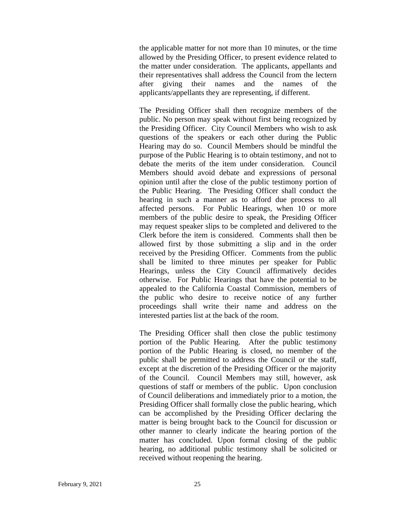the applicable matter for not more than 10 minutes, or the time allowed by the Presiding Officer, to present evidence related to the matter under consideration. The applicants, appellants and their representatives shall address the Council from the lectern after giving their names and the names of the applicants/appellants they are representing, if different.

The Presiding Officer shall then recognize members of the public. No person may speak without first being recognized by the Presiding Officer. City Council Members who wish to ask questions of the speakers or each other during the Public Hearing may do so. Council Members should be mindful the purpose of the Public Hearing is to obtain testimony, and not to debate the merits of the item under consideration. Council Members should avoid debate and expressions of personal opinion until after the close of the public testimony portion of the Public Hearing. The Presiding Officer shall conduct the hearing in such a manner as to afford due process to all affected persons. For Public Hearings, when 10 or more members of the public desire to speak, the Presiding Officer may request speaker slips to be completed and delivered to the Clerk before the item is considered. Comments shall then be allowed first by those submitting a slip and in the order received by the Presiding Officer. Comments from the public shall be limited to three minutes per speaker for Public Hearings, unless the City Council affirmatively decides otherwise. For Public Hearings that have the potential to be appealed to the California Coastal Commission, members of the public who desire to receive notice of any further proceedings shall write their name and address on the interested parties list at the back of the room.

The Presiding Officer shall then close the public testimony portion of the Public Hearing. After the public testimony portion of the Public Hearing is closed, no member of the public shall be permitted to address the Council or the staff, except at the discretion of the Presiding Officer or the majority of the Council. Council Members may still, however, ask questions of staff or members of the public. Upon conclusion of Council deliberations and immediately prior to a motion, the Presiding Officer shall formally close the public hearing, which can be accomplished by the Presiding Officer declaring the matter is being brought back to the Council for discussion or other manner to clearly indicate the hearing portion of the matter has concluded. Upon formal closing of the public hearing, no additional public testimony shall be solicited or received without reopening the hearing.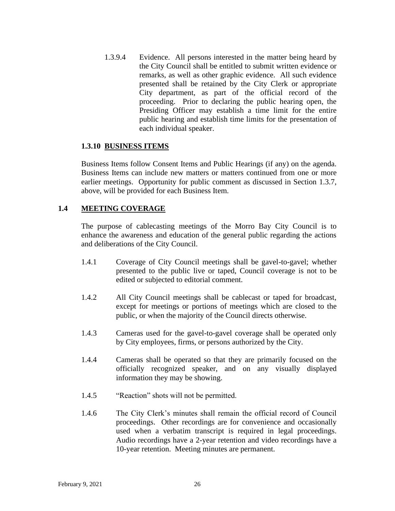1.3.9.4 Evidence. All persons interested in the matter being heard by the City Council shall be entitled to submit written evidence or remarks, as well as other graphic evidence. All such evidence presented shall be retained by the City Clerk or appropriate City department, as part of the official record of the proceeding. Prior to declaring the public hearing open, the Presiding Officer may establish a time limit for the entire public hearing and establish time limits for the presentation of each individual speaker.

## **1.3.10 BUSINESS ITEMS**

Business Items follow Consent Items and Public Hearings (if any) on the agenda. Business Items can include new matters or matters continued from one or more earlier meetings. Opportunity for public comment as discussed in Section 1.3.7, above, will be provided for each Business Item.

## **1.4 MEETING COVERAGE**

The purpose of cablecasting meetings of the Morro Bay City Council is to enhance the awareness and education of the general public regarding the actions and deliberations of the City Council.

- 1.4.1 Coverage of City Council meetings shall be gavel-to-gavel; whether presented to the public live or taped, Council coverage is not to be edited or subjected to editorial comment.
- 1.4.2 All City Council meetings shall be cablecast or taped for broadcast, except for meetings or portions of meetings which are closed to the public, or when the majority of the Council directs otherwise.
- 1.4.3 Cameras used for the gavel-to-gavel coverage shall be operated only by City employees, firms, or persons authorized by the City.
- 1.4.4 Cameras shall be operated so that they are primarily focused on the officially recognized speaker, and on any visually displayed information they may be showing.
- 1.4.5 "Reaction" shots will not be permitted.
- 1.4.6 The City Clerk's minutes shall remain the official record of Council proceedings. Other recordings are for convenience and occasionally used when a verbatim transcript is required in legal proceedings. Audio recordings have a 2-year retention and video recordings have a 10-year retention. Meeting minutes are permanent.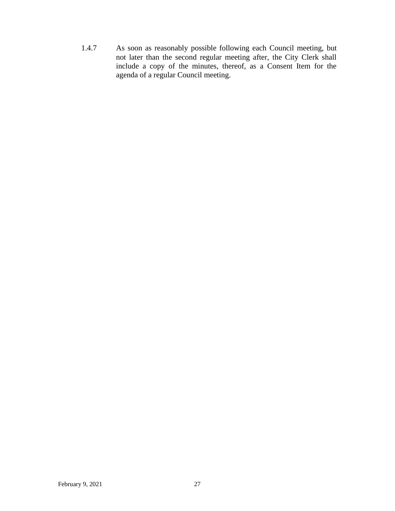1.4.7 As soon as reasonably possible following each Council meeting, but not later than the second regular meeting after, the City Clerk shall include a copy of the minutes, thereof, as a Consent Item for the agenda of a regular Council meeting.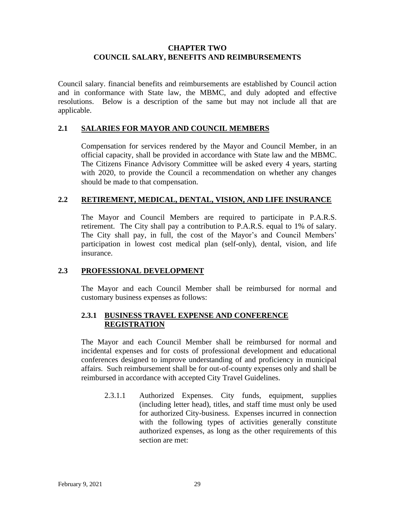## **CHAPTER TWO COUNCIL SALARY, BENEFITS AND REIMBURSEMENTS**

Council salary. financial benefits and reimbursements are established by Council action and in conformance with State law, the MBMC, and duly adopted and effective resolutions. Below is a description of the same but may not include all that are applicable.

## **2.1 SALARIES FOR MAYOR AND COUNCIL MEMBERS**

Compensation for services rendered by the Mayor and Council Member, in an official capacity, shall be provided in accordance with State law and the MBMC. The Citizens Finance Advisory Committee will be asked every 4 years, starting with 2020, to provide the Council a recommendation on whether any changes should be made to that compensation.

## **2.2 RETIREMENT, MEDICAL, DENTAL, VISION, AND LIFE INSURANCE**

The Mayor and Council Members are required to participate in P.A.R.S. retirement. The City shall pay a contribution to P.A.R.S. equal to 1% of salary. The City shall pay, in full, the cost of the Mayor's and Council Members' participation in lowest cost medical plan (self-only), dental, vision, and life insurance.

## **2.3 PROFESSIONAL DEVELOPMENT**

The Mayor and each Council Member shall be reimbursed for normal and customary business expenses as follows:

## **2.3.1 BUSINESS TRAVEL EXPENSE AND CONFERENCE REGISTRATION**

The Mayor and each Council Member shall be reimbursed for normal and incidental expenses and for costs of professional development and educational conferences designed to improve understanding of and proficiency in municipal affairs. Such reimbursement shall be for out-of-county expenses only and shall be reimbursed in accordance with accepted City Travel Guidelines.

2.3.1.1 Authorized Expenses. City funds, equipment, supplies (including letter head), titles, and staff time must only be used for authorized City-business. Expenses incurred in connection with the following types of activities generally constitute authorized expenses, as long as the other requirements of this section are met: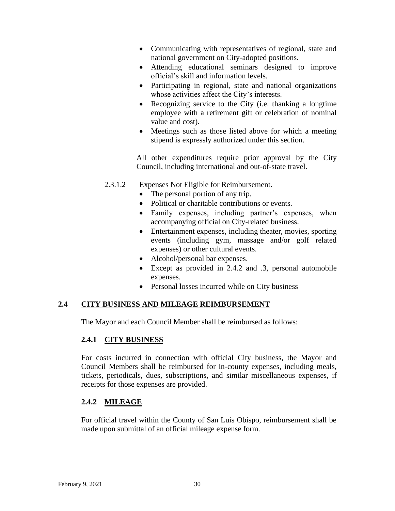- Communicating with representatives of regional, state and national government on City-adopted positions.
- Attending educational seminars designed to improve official's skill and information levels.
- Participating in regional, state and national organizations whose activities affect the City's interests.
- Recognizing service to the City (*i.e.* thanking a longtime employee with a retirement gift or celebration of nominal value and cost).
- Meetings such as those listed above for which a meeting stipend is expressly authorized under this section.

All other expenditures require prior approval by the City Council, including international and out-of-state travel.

- 2.3.1.2 Expenses Not Eligible for Reimbursement.
	- The personal portion of any trip.
	- Political or charitable contributions or events.
	- Family expenses, including partner's expenses, when accompanying official on City-related business.
	- Entertainment expenses, including theater, movies, sporting events (including gym, massage and/or golf related expenses) or other cultural events.
	- Alcohol/personal bar expenses.
	- Except as provided in 2.4.2 and .3, personal automobile expenses.
	- Personal losses incurred while on City business

## **2.4 CITY BUSINESS AND MILEAGE REIMBURSEMENT**

The Mayor and each Council Member shall be reimbursed as follows:

## **2.4.1 CITY BUSINESS**

For costs incurred in connection with official City business, the Mayor and Council Members shall be reimbursed for in-county expenses, including meals, tickets, periodicals, dues, subscriptions, and similar miscellaneous expenses, if receipts for those expenses are provided.

## **2.4.2 MILEAGE**

For official travel within the County of San Luis Obispo, reimbursement shall be made upon submittal of an official mileage expense form.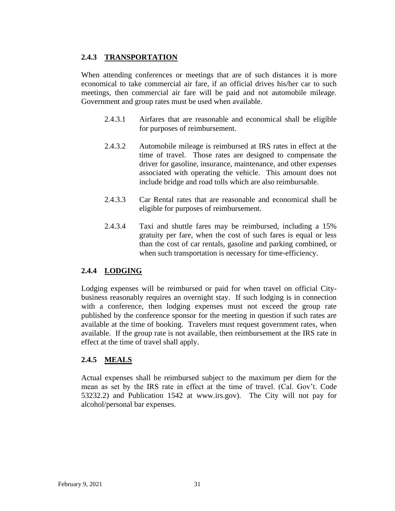## **2.4.3 TRANSPORTATION**

When attending conferences or meetings that are of such distances it is more economical to take commercial air fare, if an official drives his/her car to such meetings, then commercial air fare will be paid and not automobile mileage. Government and group rates must be used when available.

- 2.4.3.1 Airfares that are reasonable and economical shall be eligible for purposes of reimbursement.
- 2.4.3.2 Automobile mileage is reimbursed at IRS rates in effect at the time of travel. Those rates are designed to compensate the driver for gasoline, insurance, maintenance, and other expenses associated with operating the vehicle. This amount does not include bridge and road tolls which are also reimbursable.
- 2.4.3.3 Car Rental rates that are reasonable and economical shall be eligible for purposes of reimbursement.
- 2.4.3.4 Taxi and shuttle fares may be reimbursed, including a 15% gratuity per fare, when the cost of such fares is equal or less than the cost of car rentals, gasoline and parking combined, or when such transportation is necessary for time-efficiency.

## **2.4.4 LODGING**

Lodging expenses will be reimbursed or paid for when travel on official Citybusiness reasonably requires an overnight stay. If such lodging is in connection with a conference, then lodging expenses must not exceed the group rate published by the conference sponsor for the meeting in question if such rates are available at the time of booking. Travelers must request government rates, when available. If the group rate is not available, then reimbursement at the IRS rate in effect at the time of travel shall apply.

## **2.4.5 MEALS**

Actual expenses shall be reimbursed subject to the maximum per diem for the mean as set by the IRS rate in effect at the time of travel. (Cal. Gov't. Code 53232.2) and Publication 1542 at www.irs.gov). The City will not pay for alcohol/personal bar expenses.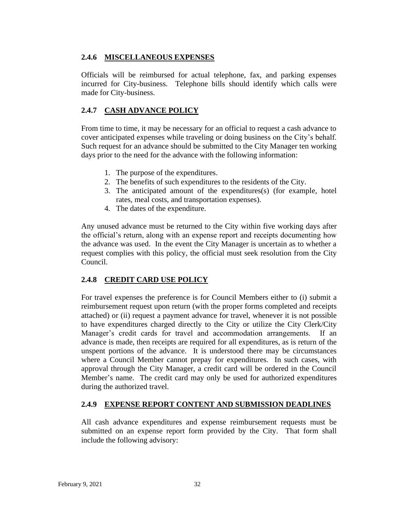## **2.4.6 MISCELLANEOUS EXPENSES**

Officials will be reimbursed for actual telephone, fax, and parking expenses incurred for City-business. Telephone bills should identify which calls were made for City-business.

## **2.4.7 CASH ADVANCE POLICY**

From time to time, it may be necessary for an official to request a cash advance to cover anticipated expenses while traveling or doing business on the City's behalf. Such request for an advance should be submitted to the City Manager ten working days prior to the need for the advance with the following information:

- 1. The purpose of the expenditures.
- 2. The benefits of such expenditures to the residents of the City.
- 3. The anticipated amount of the expenditures(s) (for example, hotel rates, meal costs, and transportation expenses).
- 4. The dates of the expenditure.

Any unused advance must be returned to the City within five working days after the official's return, along with an expense report and receipts documenting how the advance was used. In the event the City Manager is uncertain as to whether a request complies with this policy, the official must seek resolution from the City Council.

## **2.4.8 CREDIT CARD USE POLICY**

For travel expenses the preference is for Council Members either to (i) submit a reimbursement request upon return (with the proper forms completed and receipts attached) or (ii) request a payment advance for travel, whenever it is not possible to have expenditures charged directly to the City or utilize the City Clerk/City Manager's credit cards for travel and accommodation arrangements. If an advance is made, then receipts are required for all expenditures, as is return of the unspent portions of the advance. It is understood there may be circumstances where a Council Member cannot prepay for expenditures. In such cases, with approval through the City Manager, a credit card will be ordered in the Council Member's name. The credit card may only be used for authorized expenditures during the authorized travel.

## **2.4.9 EXPENSE REPORT CONTENT AND SUBMISSION DEADLINES**

All cash advance expenditures and expense reimbursement requests must be submitted on an expense report form provided by the City. That form shall include the following advisory: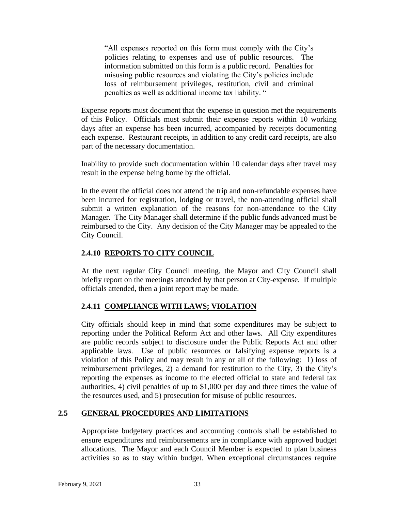"All expenses reported on this form must comply with the City's policies relating to expenses and use of public resources. The information submitted on this form is a public record. Penalties for misusing public resources and violating the City's policies include loss of reimbursement privileges, restitution, civil and criminal penalties as well as additional income tax liability. "

Expense reports must document that the expense in question met the requirements of this Policy. Officials must submit their expense reports within 10 working days after an expense has been incurred, accompanied by receipts documenting each expense. Restaurant receipts, in addition to any credit card receipts, are also part of the necessary documentation.

Inability to provide such documentation within 10 calendar days after travel may result in the expense being borne by the official.

In the event the official does not attend the trip and non-refundable expenses have been incurred for registration, lodging or travel, the non-attending official shall submit a written explanation of the reasons for non-attendance to the City Manager. The City Manager shall determine if the public funds advanced must be reimbursed to the City. Any decision of the City Manager may be appealed to the City Council.

## **2.4.10 REPORTS TO CITY COUNCIL**

At the next regular City Council meeting, the Mayor and City Council shall briefly report on the meetings attended by that person at City-expense. If multiple officials attended, then a joint report may be made.

#### **2.4.11 COMPLIANCE WITH LAWS; VIOLATION**

City officials should keep in mind that some expenditures may be subject to reporting under the Political Reform Act and other laws. All City expenditures are public records subject to disclosure under the Public Reports Act and other applicable laws. Use of public resources or falsifying expense reports is a violation of this Policy and may result in any or all of the following: 1) loss of reimbursement privileges, 2) a demand for restitution to the City, 3) the City's reporting the expenses as income to the elected official to state and federal tax authorities, 4) civil penalties of up to \$1,000 per day and three times the value of the resources used, and 5) prosecution for misuse of public resources.

## **2.5 GENERAL PROCEDURES AND LIMITATIONS**

Appropriate budgetary practices and accounting controls shall be established to ensure expenditures and reimbursements are in compliance with approved budget allocations. The Mayor and each Council Member is expected to plan business activities so as to stay within budget. When exceptional circumstances require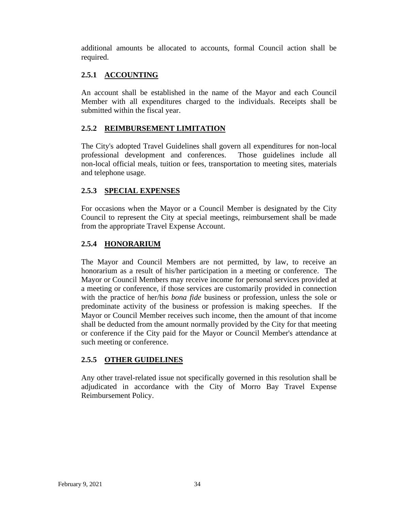additional amounts be allocated to accounts, formal Council action shall be required.

## **2.5.1 ACCOUNTING**

An account shall be established in the name of the Mayor and each Council Member with all expenditures charged to the individuals. Receipts shall be submitted within the fiscal year.

## **2.5.2 REIMBURSEMENT LIMITATION**

The City's adopted Travel Guidelines shall govern all expenditures for non-local professional development and conferences. Those guidelines include all non-local official meals, tuition or fees, transportation to meeting sites, materials and telephone usage.

## **2.5.3 SPECIAL EXPENSES**

For occasions when the Mayor or a Council Member is designated by the City Council to represent the City at special meetings, reimbursement shall be made from the appropriate Travel Expense Account.

## **2.5.4 HONORARIUM**

The Mayor and Council Members are not permitted, by law, to receive an honorarium as a result of his/her participation in a meeting or conference. The Mayor or Council Members may receive income for personal services provided at a meeting or conference, if those services are customarily provided in connection with the practice of her/his *bona fide* business or profession, unless the sole or predominate activity of the business or profession is making speeches. If the Mayor or Council Member receives such income, then the amount of that income shall be deducted from the amount normally provided by the City for that meeting or conference if the City paid for the Mayor or Council Member's attendance at such meeting or conference.

## **2.5.5 OTHER GUIDELINES**

Any other travel-related issue not specifically governed in this resolution shall be adjudicated in accordance with the City of Morro Bay Travel Expense Reimbursement Policy.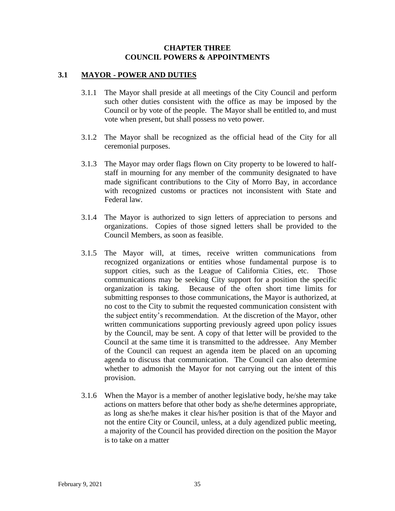#### **CHAPTER THREE COUNCIL POWERS & APPOINTMENTS**

## **3.1 MAYOR - POWER AND DUTIES**

- 3.1.1 The Mayor shall preside at all meetings of the City Council and perform such other duties consistent with the office as may be imposed by the Council or by vote of the people. The Mayor shall be entitled to, and must vote when present, but shall possess no veto power.
- 3.1.2 The Mayor shall be recognized as the official head of the City for all ceremonial purposes.
- 3.1.3 The Mayor may order flags flown on City property to be lowered to halfstaff in mourning for any member of the community designated to have made significant contributions to the City of Morro Bay, in accordance with recognized customs or practices not inconsistent with State and Federal law.
- 3.1.4 The Mayor is authorized to sign letters of appreciation to persons and organizations. Copies of those signed letters shall be provided to the Council Members, as soon as feasible.
- 3.1.5 The Mayor will, at times, receive written communications from recognized organizations or entities whose fundamental purpose is to support cities, such as the League of California Cities, etc. Those communications may be seeking City support for a position the specific organization is taking. Because of the often short time limits for submitting responses to those communications, the Mayor is authorized, at no cost to the City to submit the requested communication consistent with the subject entity's recommendation. At the discretion of the Mayor, other written communications supporting previously agreed upon policy issues by the Council, may be sent. A copy of that letter will be provided to the Council at the same time it is transmitted to the addressee. Any Member of the Council can request an agenda item be placed on an upcoming agenda to discuss that communication. The Council can also determine whether to admonish the Mayor for not carrying out the intent of this provision.
- 3.1.6 When the Mayor is a member of another legislative body, he/she may take actions on matters before that other body as she/he determines appropriate, as long as she/he makes it clear his/her position is that of the Mayor and not the entire City or Council, unless, at a duly agendized public meeting, a majority of the Council has provided direction on the position the Mayor is to take on a matter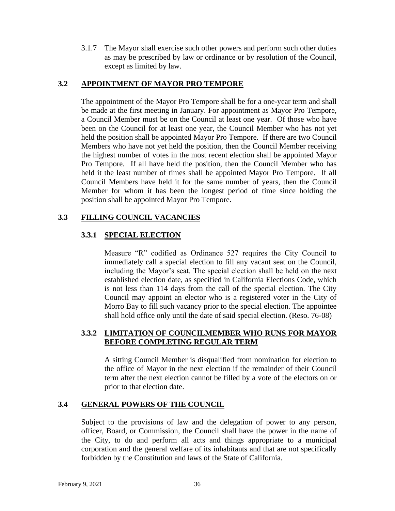3.1.7 The Mayor shall exercise such other powers and perform such other duties as may be prescribed by law or ordinance or by resolution of the Council, except as limited by law.

## **3.2 APPOINTMENT OF MAYOR PRO TEMPORE**

The appointment of the Mayor Pro Tempore shall be for a one-year term and shall be made at the first meeting in January. For appointment as Mayor Pro Tempore, a Council Member must be on the Council at least one year. Of those who have been on the Council for at least one year, the Council Member who has not yet held the position shall be appointed Mayor Pro Tempore. If there are two Council Members who have not yet held the position, then the Council Member receiving the highest number of votes in the most recent election shall be appointed Mayor Pro Tempore. If all have held the position, then the Council Member who has held it the least number of times shall be appointed Mayor Pro Tempore. If all Council Members have held it for the same number of years, then the Council Member for whom it has been the longest period of time since holding the position shall be appointed Mayor Pro Tempore.

## **3.3 FILLING COUNCIL VACANCIES**

## **3.3.1 SPECIAL ELECTION**

Measure "R" codified as Ordinance 527 requires the City Council to immediately call a special election to fill any vacant seat on the Council, including the Mayor's seat. The special election shall be held on the next established election date, as specified in California Elections Code, which is not less than 114 days from the call of the special election. The City Council may appoint an elector who is a registered voter in the City of Morro Bay to fill such vacancy prior to the special election. The appointee shall hold office only until the date of said special election. (Reso. 76-08)

## **3.3.2 LIMITATION OF COUNCILMEMBER WHO RUNS FOR MAYOR BEFORE COMPLETING REGULAR TERM**

A sitting Council Member is disqualified from nomination for election to the office of Mayor in the next election if the remainder of their Council term after the next election cannot be filled by a vote of the electors on or prior to that election date.

#### **3.4 GENERAL POWERS OF THE COUNCIL**

Subject to the provisions of law and the delegation of power to any person, officer, Board, or Commission, the Council shall have the power in the name of the City, to do and perform all acts and things appropriate to a municipal corporation and the general welfare of its inhabitants and that are not specifically forbidden by the Constitution and laws of the State of California.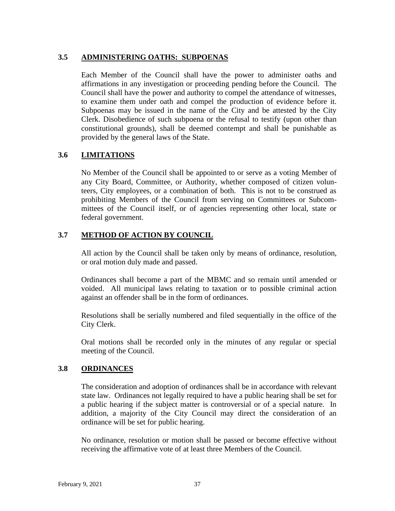## **3.5 ADMINISTERING OATHS: SUBPOENAS**

Each Member of the Council shall have the power to administer oaths and affirmations in any investigation or proceeding pending before the Council. The Council shall have the power and authority to compel the attendance of witnesses, to examine them under oath and compel the production of evidence before it. Subpoenas may be issued in the name of the City and be attested by the City Clerk. Disobedience of such subpoena or the refusal to testify (upon other than constitutional grounds), shall be deemed contempt and shall be punishable as provided by the general laws of the State.

## **3.6 LIMITATIONS**

No Member of the Council shall be appointed to or serve as a voting Member of any City Board, Committee, or Authority, whether composed of citizen volunteers, City employees, or a combination of both. This is not to be construed as prohibiting Members of the Council from serving on Committees or Subcommittees of the Council itself, or of agencies representing other local, state or federal government.

## **3.7 METHOD OF ACTION BY COUNCIL**

All action by the Council shall be taken only by means of ordinance, resolution, or oral motion duly made and passed.

Ordinances shall become a part of the MBMC and so remain until amended or voided. All municipal laws relating to taxation or to possible criminal action against an offender shall be in the form of ordinances.

Resolutions shall be serially numbered and filed sequentially in the office of the City Clerk.

Oral motions shall be recorded only in the minutes of any regular or special meeting of the Council.

## **3.8 ORDINANCES**

The consideration and adoption of ordinances shall be in accordance with relevant state law. Ordinances not legally required to have a public hearing shall be set for a public hearing if the subject matter is controversial or of a special nature. In addition, a majority of the City Council may direct the consideration of an ordinance will be set for public hearing.

No ordinance, resolution or motion shall be passed or become effective without receiving the affirmative vote of at least three Members of the Council.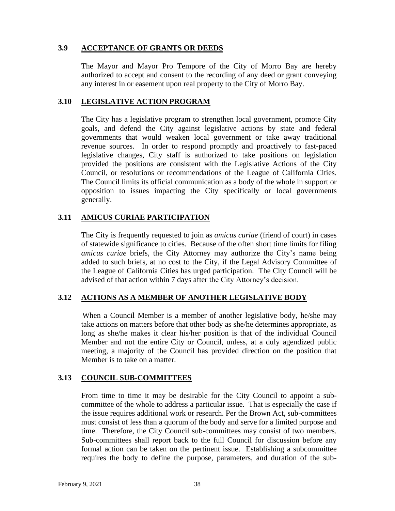## **3.9 ACCEPTANCE OF GRANTS OR DEEDS**

The Mayor and Mayor Pro Tempore of the City of Morro Bay are hereby authorized to accept and consent to the recording of any deed or grant conveying any interest in or easement upon real property to the City of Morro Bay.

## **3.10 LEGISLATIVE ACTION PROGRAM**

The City has a legislative program to strengthen local government, promote City goals, and defend the City against legislative actions by state and federal governments that would weaken local government or take away traditional revenue sources. In order to respond promptly and proactively to fast-paced legislative changes, City staff is authorized to take positions on legislation provided the positions are consistent with the Legislative Actions of the City Council, or resolutions or recommendations of the League of California Cities. The Council limits its official communication as a body of the whole in support or opposition to issues impacting the City specifically or local governments generally.

## **3.11 AMICUS CURIAE PARTICIPATION**

The City is frequently requested to join as *amicus curiae* (friend of court) in cases of statewide significance to cities. Because of the often short time limits for filing *amicus curiae* briefs, the City Attorney may authorize the City's name being added to such briefs, at no cost to the City, if the Legal Advisory Committee of the League of California Cities has urged participation. The City Council will be advised of that action within 7 days after the City Attorney's decision.

#### **3.12 ACTIONS AS A MEMBER OF ANOTHER LEGISLATIVE BODY**

 When a Council Member is a member of another legislative body, he/she may take actions on matters before that other body as she/he determines appropriate, as long as she/he makes it clear his/her position is that of the individual Council Member and not the entire City or Council, unless, at a duly agendized public meeting, a majority of the Council has provided direction on the position that Member is to take on a matter.

## **3.13 COUNCIL SUB-COMMITTEES**

From time to time it may be desirable for the City Council to appoint a subcommittee of the whole to address a particular issue. That is especially the case if the issue requires additional work or research. Per the Brown Act, sub-committees must consist of less than a quorum of the body and serve for a limited purpose and time. Therefore, the City Council sub-committees may consist of two members. Sub-committees shall report back to the full Council for discussion before any formal action can be taken on the pertinent issue. Establishing a subcommittee requires the body to define the purpose, parameters, and duration of the sub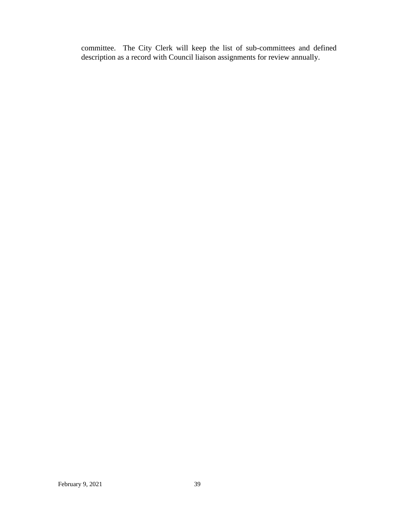committee. The City Clerk will keep the list of sub-committees and defined description as a record with Council liaison assignments for review annually.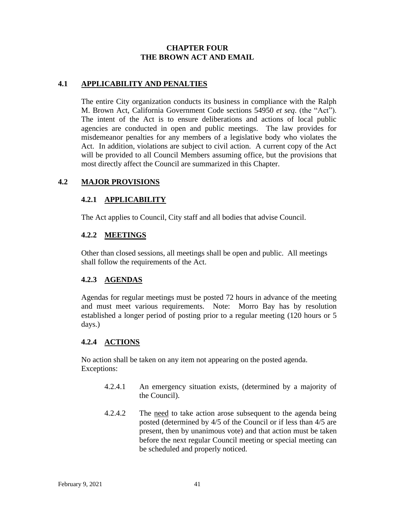## **CHAPTER FOUR THE BROWN ACT AND EMAIL**

## **4.1 APPLICABILITY AND PENALTIES**

The entire City organization conducts its business in compliance with the Ralph M. Brown Act, California Government Code sections 54950 *et seq*. (the "Act"). The intent of the Act is to ensure deliberations and actions of local public agencies are conducted in open and public meetings. The law provides for misdemeanor penalties for any members of a legislative body who violates the Act. In addition, violations are subject to civil action. A current copy of the Act will be provided to all Council Members assuming office, but the provisions that most directly affect the Council are summarized in this Chapter.

## **4.2 MAJOR PROVISIONS**

## **4.2.1 APPLICABILITY**

The Act applies to Council, City staff and all bodies that advise Council.

#### **4.2.2 MEETINGS**

Other than closed sessions, all meetings shall be open and public. All meetings shall follow the requirements of the Act.

## **4.2.3 AGENDAS**

Agendas for regular meetings must be posted 72 hours in advance of the meeting and must meet various requirements. Note: Morro Bay has by resolution established a longer period of posting prior to a regular meeting (120 hours or 5 days.)

#### **4.2.4 ACTIONS**

No action shall be taken on any item not appearing on the posted agenda. Exceptions:

- 4.2.4.1 An emergency situation exists, (determined by a majority of the Council).
- 4.2.4.2 The need to take action arose subsequent to the agenda being posted (determined by 4/5 of the Council or if less than 4/5 are present, then by unanimous vote) and that action must be taken before the next regular Council meeting or special meeting can be scheduled and properly noticed.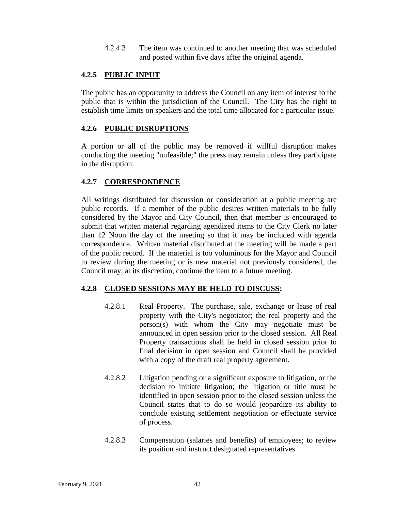4.2.4.3 The item was continued to another meeting that was scheduled and posted within five days after the original agenda.

## **4.2.5 PUBLIC INPUT**

The public has an opportunity to address the Council on any item of interest to the public that is within the jurisdiction of the Council. The City has the right to establish time limits on speakers and the total time allocated for a particular issue.

## **4.2.6 PUBLIC DISRUPTIONS**

A portion or all of the public may be removed if willful disruption makes conducting the meeting "unfeasible;" the press may remain unless they participate in the disruption.

## **4.2.7 CORRESPONDENCE**

All writings distributed for discussion or consideration at a public meeting are public records. If a member of the public desires written materials to be fully considered by the Mayor and City Council, then that member is encouraged to submit that written material regarding agendized items to the City Clerk no later than 12 Noon the day of the meeting so that it may be included with agenda correspondence. Written material distributed at the meeting will be made a part of the public record. If the material is too voluminous for the Mayor and Council to review during the meeting or is new material not previously considered, the Council may, at its discretion, continue the item to a future meeting.

## **4.2.8 CLOSED SESSIONS MAY BE HELD TO DISCUSS:**

- 4.2.8.1 Real Property. The purchase, sale, exchange or lease of real property with the City's negotiator; the real property and the person(s) with whom the City may negotiate must be announced in open session prior to the closed session. All Real Property transactions shall be held in closed session prior to final decision in open session and Council shall be provided with a copy of the draft real property agreement.
- 4.2.8.2 Litigation pending or a significant exposure to litigation, or the decision to initiate litigation; the litigation or title must be identified in open session prior to the closed session unless the Council states that to do so would jeopardize its ability to conclude existing settlement negotiation or effectuate service of process.
- 4.2.8.3 Compensation (salaries and benefits) of employees; to review its position and instruct designated representatives.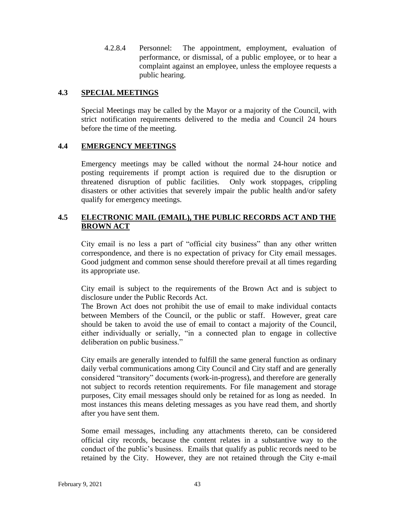4.2.8.4 Personnel: The appointment, employment, evaluation of performance, or dismissal, of a public employee, or to hear a complaint against an employee, unless the employee requests a public hearing.

## **4.3 SPECIAL MEETINGS**

Special Meetings may be called by the Mayor or a majority of the Council, with strict notification requirements delivered to the media and Council 24 hours before the time of the meeting.

## **4.4 EMERGENCY MEETINGS**

Emergency meetings may be called without the normal 24-hour notice and posting requirements if prompt action is required due to the disruption or threatened disruption of public facilities. Only work stoppages, crippling disasters or other activities that severely impair the public health and/or safety qualify for emergency meetings.

## **4.5 ELECTRONIC MAIL (EMAIL), THE PUBLIC RECORDS ACT AND THE BROWN ACT**

City email is no less a part of "official city business" than any other written correspondence, and there is no expectation of privacy for City email messages. Good judgment and common sense should therefore prevail at all times regarding its appropriate use.

City email is subject to the requirements of the Brown Act and is subject to disclosure under the Public Records Act.

The Brown Act does not prohibit the use of email to make individual contacts between Members of the Council, or the public or staff. However, great care should be taken to avoid the use of email to contact a majority of the Council, either individually or serially, "in a connected plan to engage in collective deliberation on public business."

City emails are generally intended to fulfill the same general function as ordinary daily verbal communications among City Council and City staff and are generally considered "transitory" documents (work-in-progress), and therefore are generally not subject to records retention requirements. For file management and storage purposes, City email messages should only be retained for as long as needed. In most instances this means deleting messages as you have read them, and shortly after you have sent them.

Some email messages, including any attachments thereto, can be considered official city records, because the content relates in a substantive way to the conduct of the public's business. Emails that qualify as public records need to be retained by the City. However, they are not retained through the City e-mail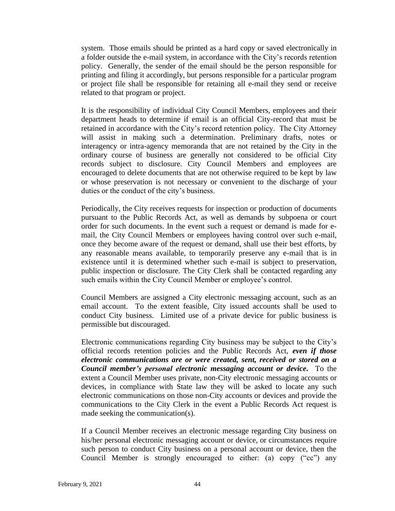system. Those emails should be printed as a hard copy or saved electronically in a folder outside the e-mail system, in accordance with the City's records retention policy. Generally, the sender of the email should be the person responsible for printing and filing it accordingly, but persons responsible for a particular program or project file shall be responsible for retaining all e-mail they send or receive related to that program or project.

It is the responsibility of individual City Council Members, employees and their department heads to determine if email is an official City-record that must be retained in accordance with the City's record retention policy. The City Attorney will assist in making such a determination. Preliminary drafts, notes or interagency or intra-agency memoranda that are not retained by the City in the ordinary course of business are generally not considered to be official City records subject to disclosure. City Council Members and employees are encouraged to delete documents that are not otherwise required to be kept by law or whose preservation is not necessary or convenient to the discharge of your duties or the conduct of the city's business.

Periodically, the City receives requests for inspection or production of documents pursuant to the Public Records Act, as well as demands by subpoena or court order for such documents. In the event such a request or demand is made for email, the City Council Members or employees having control over such e-mail, once they become aware of the request or demand, shall use their best efforts, by any reasonable means available, to temporarily preserve any e-mail that is in existence until it is determined whether such e-mail is subject to preservation, public inspection or disclosure. The City Clerk shall be contacted regarding any such emails within the City Council Member or employee's control.

Council Members are assigned a City electronic messaging account, such as an email account. To the extent feasible, City issued accounts shall be used to conduct City business. Limited use of a private device for public business is permissible but discouraged.

Electronic communications regarding City business may be subject to the City's official records retention policies and the Public Records Act, *even if those electronic communications are or were created, sent, received or stored on a Council member's personal electronic messaging account or device***.** To the extent a Council Member uses private, non-City electronic messaging accounts or devices, in compliance with State law they will be asked to locate any such electronic communications on those non-City accounts or devices and provide the communications to the City Clerk in the event a Public Records Act request is made seeking the communication(s).

If a Council Member receives an electronic message regarding City business on his/her personal electronic messaging account or device, or circumstances require such person to conduct City business on a personal account or device, then the Council Member is strongly encouraged to either: (a) copy ("cc") any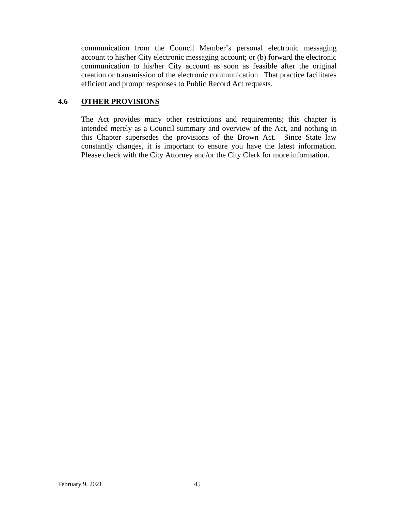communication from the Council Member's personal electronic messaging account to his/her City electronic messaging account; or (b) forward the electronic communication to his/her City account as soon as feasible after the original creation or transmission of the electronic communication. That practice facilitates efficient and prompt responses to Public Record Act requests.

## **4.6 OTHER PROVISIONS**

The Act provides many other restrictions and requirements; this chapter is intended merely as a Council summary and overview of the Act, and nothing in this Chapter supersedes the provisions of the Brown Act. Since State law constantly changes, it is important to ensure you have the latest information. Please check with the City Attorney and/or the City Clerk for more information.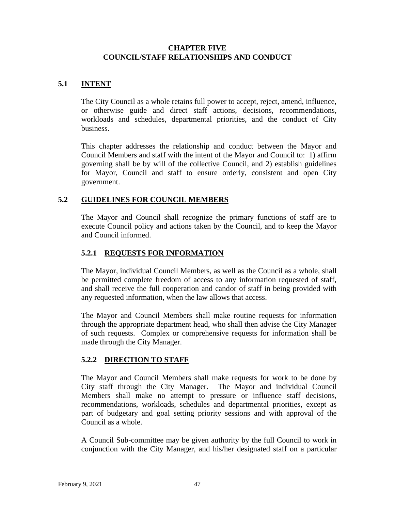## **CHAPTER FIVE COUNCIL/STAFF RELATIONSHIPS AND CONDUCT**

## **5.1 INTENT**

The City Council as a whole retains full power to accept, reject, amend, influence, or otherwise guide and direct staff actions, decisions, recommendations, workloads and schedules, departmental priorities, and the conduct of City business.

This chapter addresses the relationship and conduct between the Mayor and Council Members and staff with the intent of the Mayor and Council to: 1) affirm governing shall be by will of the collective Council, and 2) establish guidelines for Mayor, Council and staff to ensure orderly, consistent and open City government.

## **5.2 GUIDELINES FOR COUNCIL MEMBERS**

The Mayor and Council shall recognize the primary functions of staff are to execute Council policy and actions taken by the Council, and to keep the Mayor and Council informed.

## **5.2.1 REQUESTS FOR INFORMATION**

The Mayor, individual Council Members, as well as the Council as a whole, shall be permitted complete freedom of access to any information requested of staff, and shall receive the full cooperation and candor of staff in being provided with any requested information, when the law allows that access.

The Mayor and Council Members shall make routine requests for information through the appropriate department head, who shall then advise the City Manager of such requests. Complex or comprehensive requests for information shall be made through the City Manager.

## **5.2.2 DIRECTION TO STAFF**

The Mayor and Council Members shall make requests for work to be done by City staff through the City Manager. The Mayor and individual Council Members shall make no attempt to pressure or influence staff decisions, recommendations, workloads, schedules and departmental priorities, except as part of budgetary and goal setting priority sessions and with approval of the Council as a whole.

A Council Sub-committee may be given authority by the full Council to work in conjunction with the City Manager, and his/her designated staff on a particular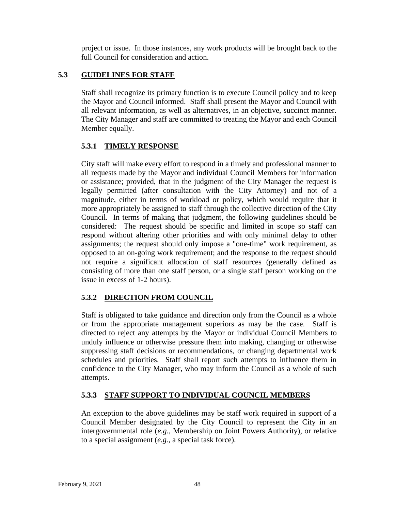project or issue. In those instances, any work products will be brought back to the full Council for consideration and action.

## **5.3 GUIDELINES FOR STAFF**

Staff shall recognize its primary function is to execute Council policy and to keep the Mayor and Council informed. Staff shall present the Mayor and Council with all relevant information, as well as alternatives, in an objective, succinct manner. The City Manager and staff are committed to treating the Mayor and each Council Member equally.

## **5.3.1 TIMELY RESPONSE**

City staff will make every effort to respond in a timely and professional manner to all requests made by the Mayor and individual Council Members for information or assistance; provided, that in the judgment of the City Manager the request is legally permitted (after consultation with the City Attorney) and not of a magnitude, either in terms of workload or policy, which would require that it more appropriately be assigned to staff through the collective direction of the City Council. In terms of making that judgment, the following guidelines should be considered: The request should be specific and limited in scope so staff can respond without altering other priorities and with only minimal delay to other assignments; the request should only impose a "one-time" work requirement, as opposed to an on-going work requirement; and the response to the request should not require a significant allocation of staff resources (generally defined as consisting of more than one staff person, or a single staff person working on the issue in excess of 1-2 hours).

## **5.3.2 DIRECTION FROM COUNCIL**

Staff is obligated to take guidance and direction only from the Council as a whole or from the appropriate management superiors as may be the case. Staff is directed to reject any attempts by the Mayor or individual Council Members to unduly influence or otherwise pressure them into making, changing or otherwise suppressing staff decisions or recommendations, or changing departmental work schedules and priorities. Staff shall report such attempts to influence them in confidence to the City Manager, who may inform the Council as a whole of such attempts.

## **5.3.3 STAFF SUPPORT TO INDIVIDUAL COUNCIL MEMBERS**

An exception to the above guidelines may be staff work required in support of a Council Member designated by the City Council to represent the City in an intergovernmental role (*e.g.*, Membership on Joint Powers Authority), or relative to a special assignment (*e.g.*, a special task force).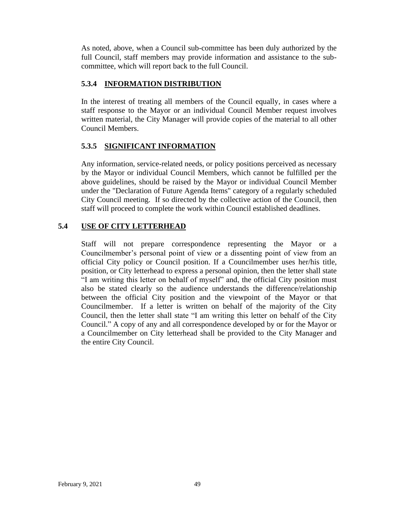As noted, above, when a Council sub-committee has been duly authorized by the full Council, staff members may provide information and assistance to the subcommittee, which will report back to the full Council.

## **5.3.4 INFORMATION DISTRIBUTION**

In the interest of treating all members of the Council equally, in cases where a staff response to the Mayor or an individual Council Member request involves written material, the City Manager will provide copies of the material to all other Council Members.

## **5.3.5 SIGNIFICANT INFORMATION**

Any information, service-related needs, or policy positions perceived as necessary by the Mayor or individual Council Members, which cannot be fulfilled per the above guidelines, should be raised by the Mayor or individual Council Member under the "Declaration of Future Agenda Items" category of a regularly scheduled City Council meeting. If so directed by the collective action of the Council, then staff will proceed to complete the work within Council established deadlines.

## **5.4 USE OF CITY LETTERHEAD**

Staff will not prepare correspondence representing the Mayor or a Councilmember's personal point of view or a dissenting point of view from an official City policy or Council position. If a Councilmember uses her/his title, position, or City letterhead to express a personal opinion, then the letter shall state "I am writing this letter on behalf of myself" and, the official City position must also be stated clearly so the audience understands the difference/relationship between the official City position and the viewpoint of the Mayor or that Councilmember. If a letter is written on behalf of the majority of the City Council, then the letter shall state "I am writing this letter on behalf of the City Council." A copy of any and all correspondence developed by or for the Mayor or a Councilmember on City letterhead shall be provided to the City Manager and the entire City Council.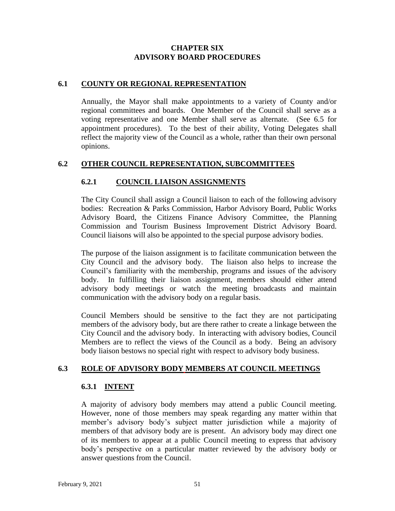## **CHAPTER SIX ADVISORY BOARD PROCEDURES**

## **6.1 COUNTY OR REGIONAL REPRESENTATION**

Annually, the Mayor shall make appointments to a variety of County and/or regional committees and boards. One Member of the Council shall serve as a voting representative and one Member shall serve as alternate. (See 6.5 for appointment procedures). To the best of their ability, Voting Delegates shall reflect the majority view of the Council as a whole, rather than their own personal opinions.

## **6.2 OTHER COUNCIL REPRESENTATION, SUBCOMMITTEES**

## **6.2.1 COUNCIL LIAISON ASSIGNMENTS**

The City Council shall assign a Council liaison to each of the following advisory bodies: Recreation & Parks Commission, Harbor Advisory Board, Public Works Advisory Board, the Citizens Finance Advisory Committee, the Planning Commission and Tourism Business Improvement District Advisory Board. Council liaisons will also be appointed to the special purpose advisory bodies.

The purpose of the liaison assignment is to facilitate communication between the City Council and the advisory body. The liaison also helps to increase the Council's familiarity with the membership, programs and issues of the advisory body. In fulfilling their liaison assignment, members should either attend advisory body meetings or watch the meeting broadcasts and maintain communication with the advisory body on a regular basis.

Council Members should be sensitive to the fact they are not participating members of the advisory body, but are there rather to create a linkage between the City Council and the advisory body. In interacting with advisory bodies, Council Members are to reflect the views of the Council as a body. Being an advisory body liaison bestows no special right with respect to advisory body business.

## **6.3 ROLE OF ADVISORY BODY MEMBERS AT COUNCIL MEETINGS**

## **6.3.1 INTENT**

A majority of advisory body members may attend a public Council meeting. However, none of those members may speak regarding any matter within that member's advisory body's subject matter jurisdiction while a majority of members of that advisory body are is present. An advisory body may direct one of its members to appear at a public Council meeting to express that advisory body's perspective on a particular matter reviewed by the advisory body or answer questions from the Council.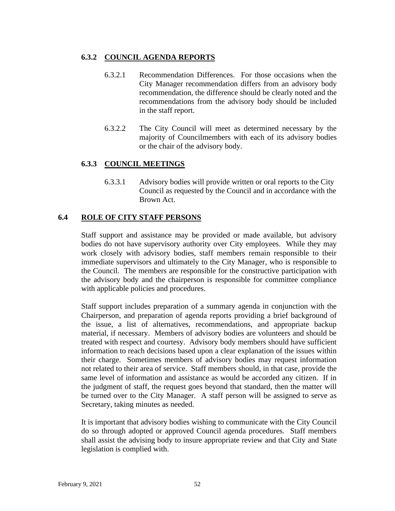## **6.3.2 COUNCIL AGENDA REPORTS**

- 6.3.2.1 Recommendation Differences. For those occasions when the City Manager recommendation differs from an advisory body recommendation, the difference should be clearly noted and the recommendations from the advisory body should be included in the staff report.
- 6.3.2.2 The City Council will meet as determined necessary by the majority of Councilmembers with each of its advisory bodies or the chair of the advisory body.

## **6.3.3 COUNCIL MEETINGS**

6.3.3.1 Advisory bodies will provide written or oral reports to the City Council as requested by the Council and in accordance with the Brown Act.

## **6.4 ROLE OF CITY STAFF PERSONS**

Staff support and assistance may be provided or made available, but advisory bodies do not have supervisory authority over City employees. While they may work closely with advisory bodies, staff members remain responsible to their immediate supervisors and ultimately to the City Manager, who is responsible to the Council. The members are responsible for the constructive participation with the advisory body and the chairperson is responsible for committee compliance with applicable policies and procedures.

Staff support includes preparation of a summary agenda in conjunction with the Chairperson, and preparation of agenda reports providing a brief background of the issue, a list of alternatives, recommendations, and appropriate backup material, if necessary. Members of advisory bodies are volunteers and should be treated with respect and courtesy. Advisory body members should have sufficient information to reach decisions based upon a clear explanation of the issues within their charge. Sometimes members of advisory bodies may request information not related to their area of service. Staff members should, in that case, provide the same level of information and assistance as would be accorded any citizen. If in the judgment of staff, the request goes beyond that standard, then the matter will be turned over to the City Manager. A staff person will be assigned to serve as Secretary, taking minutes as needed.

It is important that advisory bodies wishing to communicate with the City Council do so through adopted or approved Council agenda procedures. Staff members shall assist the advising body to insure appropriate review and that City and State legislation is complied with.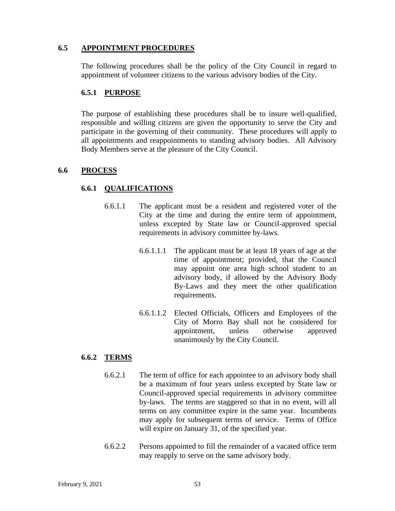#### **6.5 APPOINTMENT PROCEDURES**

The following procedures shall be the policy of the City Council in regard to appointment of volunteer citizens to the various advisory bodies of the City.

#### **6.5.1 PURPOSE**

The purpose of establishing these procedures shall be to insure well-qualified, responsible and willing citizens are given the opportunity to serve the City and participate in the governing of their community. These procedures will apply to all appointments and reappointments to standing advisory bodies. All Advisory Body Members serve at the pleasure of the City Council.

#### **6.6 PROCESS**

#### **6.6.1 QUALIFICATIONS**

- 6.6.1.1 The applicant must be a resident and registered voter of the City at the time and during the entire term of appointment, unless excepted by State law or Council-approved special requirements in advisory committee by-laws.
	- 6.6.1.1.1 The applicant must be at least 18 years of age at the time of appointment; provided, that the Council may appoint one area high school student to an advisory body, if allowed by the Advisory Body By-Laws and they meet the other qualification requirements.
	- 6.6.1.1.2 Elected Officials, Officers and Employees of the City of Morro Bay shall not be considered for appointment, unless otherwise approved unanimously by the City Council.

#### **6.6.2 TERMS**

- 6.6.2.1 The term of office for each appointee to an advisory body shall be a maximum of four years unless excepted by State law or Council-approved special requirements in advisory committee by-laws. The terms are staggered so that in no event, will all terms on any committee expire in the same year. Incumbents may apply for subsequent terms of service. Terms of Office will expire on January 31, of the specified year.
- 6.6.2.2 Persons appointed to fill the remainder of a vacated office term may reapply to serve on the same advisory body.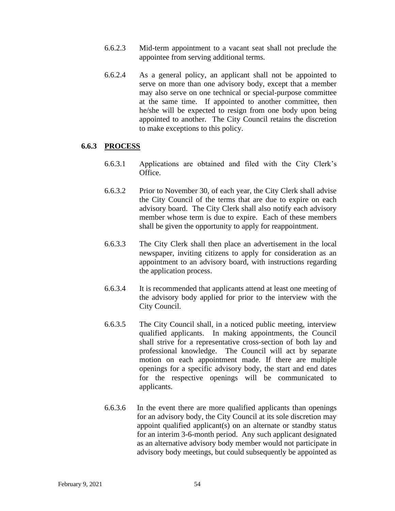- 6.6.2.3 Mid-term appointment to a vacant seat shall not preclude the appointee from serving additional terms.
- 6.6.2.4 As a general policy, an applicant shall not be appointed to serve on more than one advisory body, except that a member may also serve on one technical or special-purpose committee at the same time. If appointed to another committee, then he/she will be expected to resign from one body upon being appointed to another. The City Council retains the discretion to make exceptions to this policy.

#### **6.6.3 PROCESS**

- 6.6.3.1 Applications are obtained and filed with the City Clerk's Office.
- 6.6.3.2 Prior to November 30, of each year, the City Clerk shall advise the City Council of the terms that are due to expire on each advisory board. The City Clerk shall also notify each advisory member whose term is due to expire. Each of these members shall be given the opportunity to apply for reappointment.
- 6.6.3.3 The City Clerk shall then place an advertisement in the local newspaper, inviting citizens to apply for consideration as an appointment to an advisory board, with instructions regarding the application process.
- 6.6.3.4 It is recommended that applicants attend at least one meeting of the advisory body applied for prior to the interview with the City Council.
- 6.6.3.5 The City Council shall, in a noticed public meeting, interview qualified applicants. In making appointments, the Council shall strive for a representative cross-section of both lay and professional knowledge. The Council will act by separate motion on each appointment made. If there are multiple openings for a specific advisory body, the start and end dates for the respective openings will be communicated to applicants.
- 6.6.3.6 In the event there are more qualified applicants than openings for an advisory body, the City Council at its sole discretion may appoint qualified applicant(s) on an alternate or standby status for an interim 3-6-month period. Any such applicant designated as an alternative advisory body member would not participate in advisory body meetings, but could subsequently be appointed as